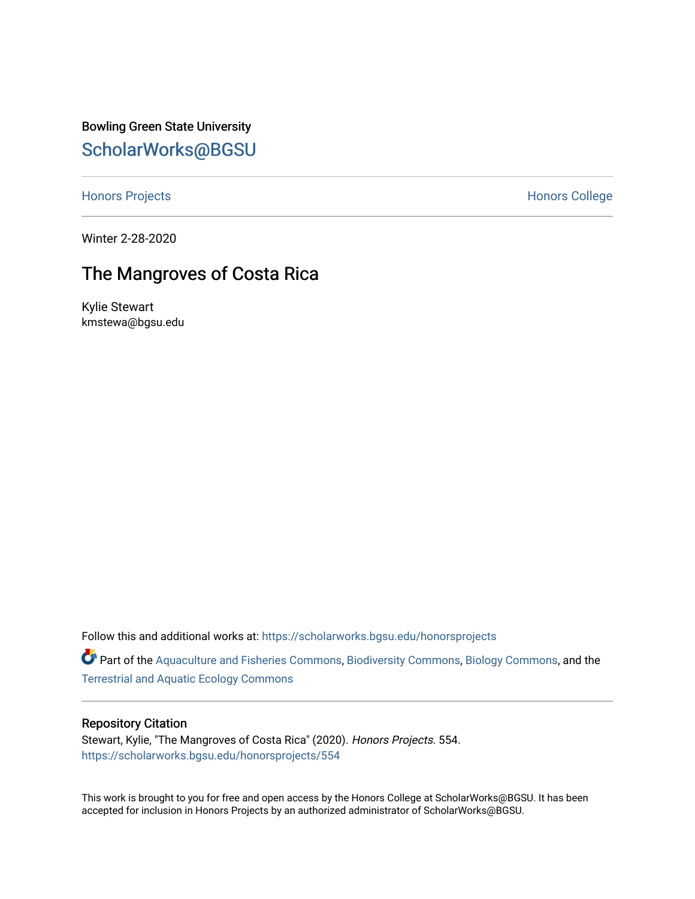Bowling Green State University [ScholarWorks@BGSU](https://scholarworks.bgsu.edu/) 

[Honors Projects](https://scholarworks.bgsu.edu/honorsprojects) **Honors** College

Winter 2-28-2020

# The Mangroves of Costa Rica

Kylie Stewart kmstewa@bgsu.edu

Follow this and additional works at: [https://scholarworks.bgsu.edu/honorsprojects](https://scholarworks.bgsu.edu/honorsprojects?utm_source=scholarworks.bgsu.edu%2Fhonorsprojects%2F554&utm_medium=PDF&utm_campaign=PDFCoverPages) 

Part of the [Aquaculture and Fisheries Commons](http://network.bepress.com/hgg/discipline/78?utm_source=scholarworks.bgsu.edu%2Fhonorsprojects%2F554&utm_medium=PDF&utm_campaign=PDFCoverPages), [Biodiversity Commons,](http://network.bepress.com/hgg/discipline/1127?utm_source=scholarworks.bgsu.edu%2Fhonorsprojects%2F554&utm_medium=PDF&utm_campaign=PDFCoverPages) [Biology Commons,](http://network.bepress.com/hgg/discipline/41?utm_source=scholarworks.bgsu.edu%2Fhonorsprojects%2F554&utm_medium=PDF&utm_campaign=PDFCoverPages) and the [Terrestrial and Aquatic Ecology Commons](http://network.bepress.com/hgg/discipline/20?utm_source=scholarworks.bgsu.edu%2Fhonorsprojects%2F554&utm_medium=PDF&utm_campaign=PDFCoverPages) 

# Repository Citation

Stewart, Kylie, "The Mangroves of Costa Rica" (2020). Honors Projects. 554. [https://scholarworks.bgsu.edu/honorsprojects/554](https://scholarworks.bgsu.edu/honorsprojects/554?utm_source=scholarworks.bgsu.edu%2Fhonorsprojects%2F554&utm_medium=PDF&utm_campaign=PDFCoverPages) 

This work is brought to you for free and open access by the Honors College at ScholarWorks@BGSU. It has been accepted for inclusion in Honors Projects by an authorized administrator of ScholarWorks@BGSU.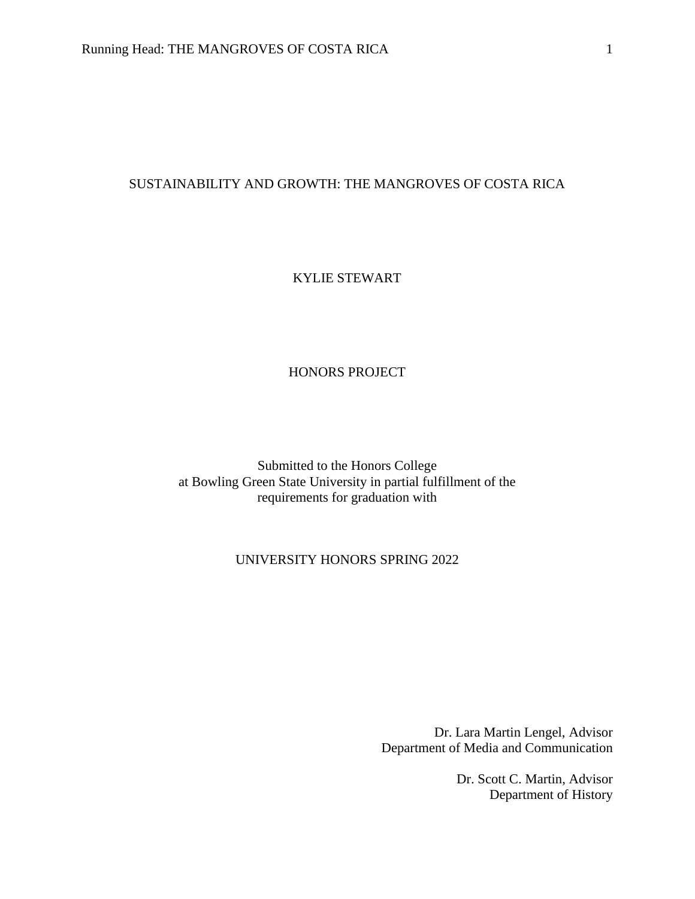# SUSTAINABILITY AND GROWTH: THE MANGROVES OF COSTA RICA

# KYLIE STEWART

# HONORS PROJECT

Submitted to the Honors College at Bowling Green State University in partial fulfillment of the requirements for graduation with

# UNIVERSITY HONORS SPRING 2022

Dr. Lara Martin Lengel, Advisor Department of Media and Communication

> Dr. Scott C. Martin, Advisor Department of History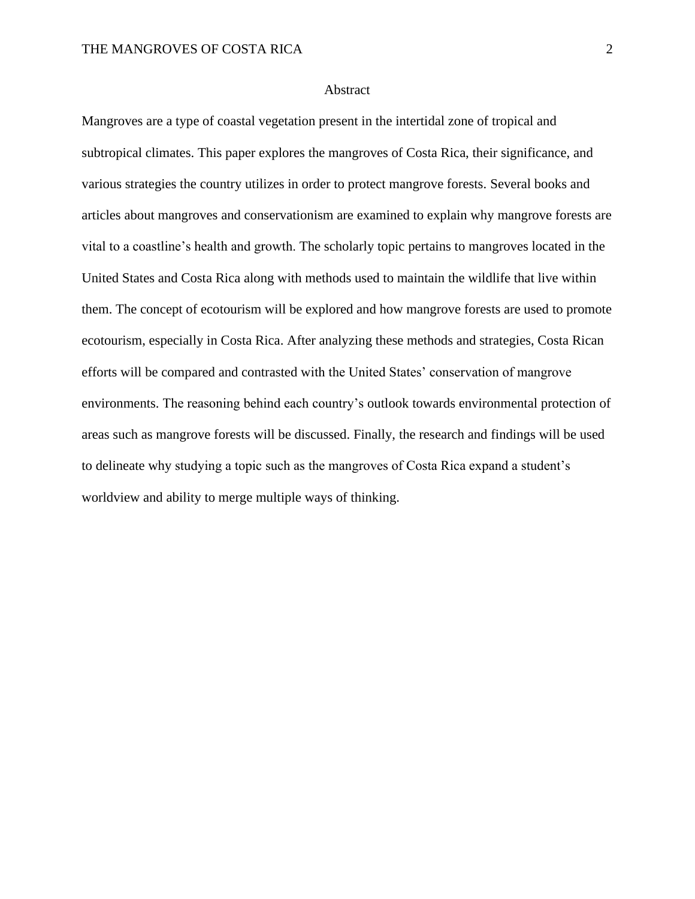# **Abstract**

Mangroves are a type of coastal vegetation present in the intertidal zone of tropical and subtropical climates. This paper explores the mangroves of Costa Rica, their significance, and various strategies the country utilizes in order to protect mangrove forests. Several books and articles about mangroves and conservationism are examined to explain why mangrove forests are vital to a coastline's health and growth. The scholarly topic pertains to mangroves located in the United States and Costa Rica along with methods used to maintain the wildlife that live within them. The concept of ecotourism will be explored and how mangrove forests are used to promote ecotourism, especially in Costa Rica. After analyzing these methods and strategies, Costa Rican efforts will be compared and contrasted with the United States' conservation of mangrove environments. The reasoning behind each country's outlook towards environmental protection of areas such as mangrove forests will be discussed. Finally, the research and findings will be used to delineate why studying a topic such as the mangroves of Costa Rica expand a student's worldview and ability to merge multiple ways of thinking.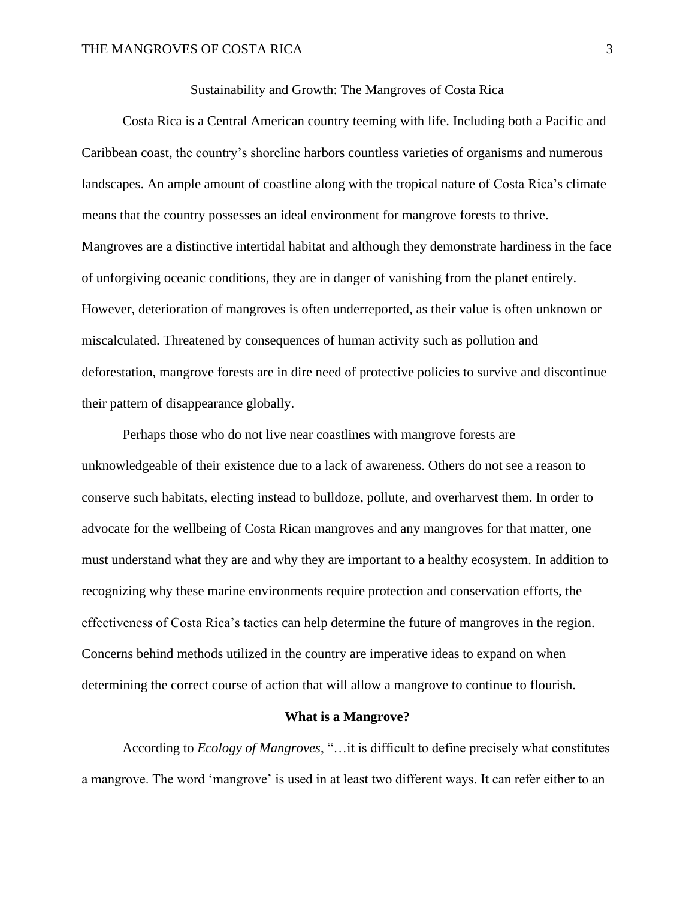Sustainability and Growth: The Mangroves of Costa Rica

Costa Rica is a Central American country teeming with life. Including both a Pacific and Caribbean coast, the country's shoreline harbors countless varieties of organisms and numerous landscapes. An ample amount of coastline along with the tropical nature of Costa Rica's climate means that the country possesses an ideal environment for mangrove forests to thrive. Mangroves are a distinctive intertidal habitat and although they demonstrate hardiness in the face of unforgiving oceanic conditions, they are in danger of vanishing from the planet entirely. However, deterioration of mangroves is often underreported, as their value is often unknown or miscalculated. Threatened by consequences of human activity such as pollution and deforestation, mangrove forests are in dire need of protective policies to survive and discontinue their pattern of disappearance globally.

Perhaps those who do not live near coastlines with mangrove forests are unknowledgeable of their existence due to a lack of awareness. Others do not see a reason to conserve such habitats, electing instead to bulldoze, pollute, and overharvest them. In order to advocate for the wellbeing of Costa Rican mangroves and any mangroves for that matter, one must understand what they are and why they are important to a healthy ecosystem. In addition to recognizing why these marine environments require protection and conservation efforts, the effectiveness of Costa Rica's tactics can help determine the future of mangroves in the region. Concerns behind methods utilized in the country are imperative ideas to expand on when determining the correct course of action that will allow a mangrove to continue to flourish.

#### **What is a Mangrove?**

According to *Ecology of Mangroves*, "…it is difficult to define precisely what constitutes a mangrove. The word 'mangrove' is used in at least two different ways. It can refer either to an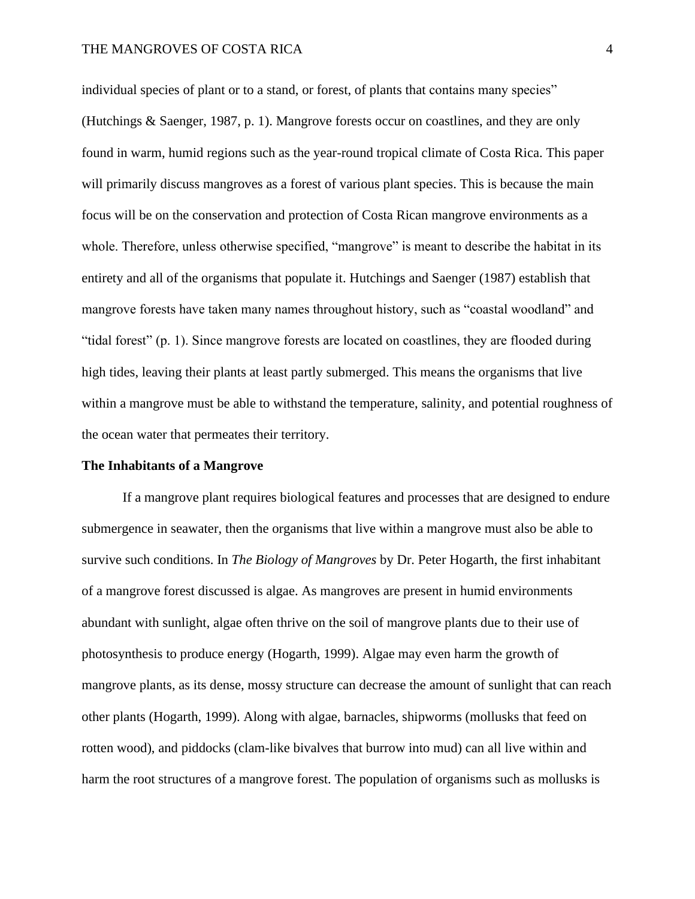individual species of plant or to a stand, or forest, of plants that contains many species" (Hutchings & Saenger, 1987, p. 1). Mangrove forests occur on coastlines, and they are only found in warm, humid regions such as the year-round tropical climate of Costa Rica. This paper will primarily discuss mangroves as a forest of various plant species. This is because the main focus will be on the conservation and protection of Costa Rican mangrove environments as a whole. Therefore, unless otherwise specified, "mangrove" is meant to describe the habitat in its entirety and all of the organisms that populate it. Hutchings and Saenger (1987) establish that mangrove forests have taken many names throughout history, such as "coastal woodland" and "tidal forest" (p. 1). Since mangrove forests are located on coastlines, they are flooded during high tides, leaving their plants at least partly submerged. This means the organisms that live within a mangrove must be able to withstand the temperature, salinity, and potential roughness of the ocean water that permeates their territory.

#### **The Inhabitants of a Mangrove**

If a mangrove plant requires biological features and processes that are designed to endure submergence in seawater, then the organisms that live within a mangrove must also be able to survive such conditions. In *The Biology of Mangroves* by Dr. Peter Hogarth, the first inhabitant of a mangrove forest discussed is algae. As mangroves are present in humid environments abundant with sunlight, algae often thrive on the soil of mangrove plants due to their use of photosynthesis to produce energy (Hogarth, 1999). Algae may even harm the growth of mangrove plants, as its dense, mossy structure can decrease the amount of sunlight that can reach other plants (Hogarth, 1999). Along with algae, barnacles, shipworms (mollusks that feed on rotten wood), and piddocks (clam-like bivalves that burrow into mud) can all live within and harm the root structures of a mangrove forest. The population of organisms such as mollusks is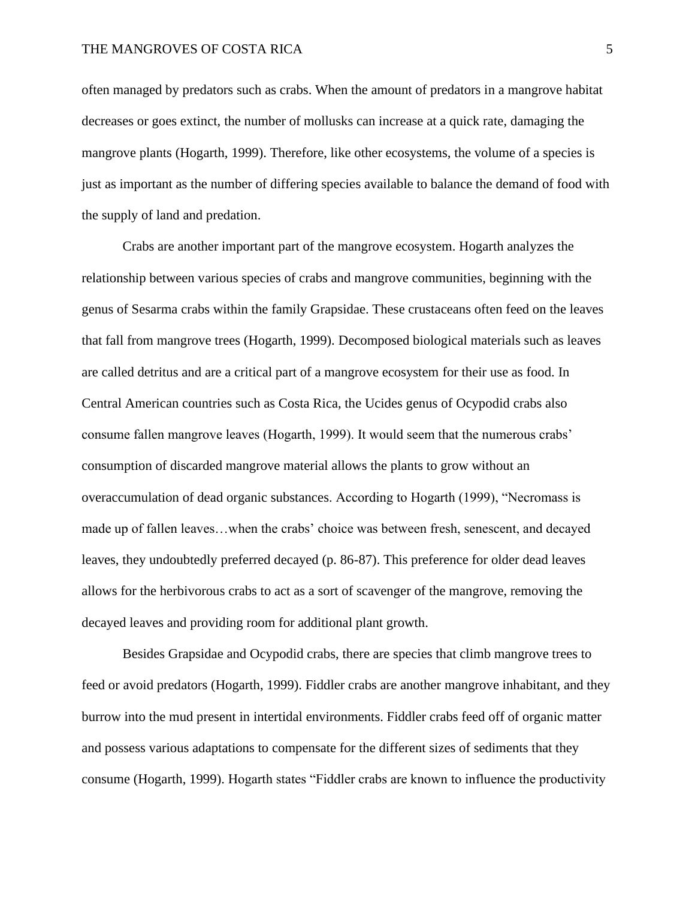often managed by predators such as crabs. When the amount of predators in a mangrove habitat decreases or goes extinct, the number of mollusks can increase at a quick rate, damaging the mangrove plants (Hogarth, 1999). Therefore, like other ecosystems, the volume of a species is just as important as the number of differing species available to balance the demand of food with the supply of land and predation.

Crabs are another important part of the mangrove ecosystem. Hogarth analyzes the relationship between various species of crabs and mangrove communities, beginning with the genus of Sesarma crabs within the family Grapsidae. These crustaceans often feed on the leaves that fall from mangrove trees (Hogarth, 1999). Decomposed biological materials such as leaves are called detritus and are a critical part of a mangrove ecosystem for their use as food. In Central American countries such as Costa Rica, the Ucides genus of Ocypodid crabs also consume fallen mangrove leaves (Hogarth, 1999). It would seem that the numerous crabs' consumption of discarded mangrove material allows the plants to grow without an overaccumulation of dead organic substances. According to Hogarth (1999), "Necromass is made up of fallen leaves…when the crabs' choice was between fresh, senescent, and decayed leaves, they undoubtedly preferred decayed (p. 86-87). This preference for older dead leaves allows for the herbivorous crabs to act as a sort of scavenger of the mangrove, removing the decayed leaves and providing room for additional plant growth.

Besides Grapsidae and Ocypodid crabs, there are species that climb mangrove trees to feed or avoid predators (Hogarth, 1999). Fiddler crabs are another mangrove inhabitant, and they burrow into the mud present in intertidal environments. Fiddler crabs feed off of organic matter and possess various adaptations to compensate for the different sizes of sediments that they consume (Hogarth, 1999). Hogarth states "Fiddler crabs are known to influence the productivity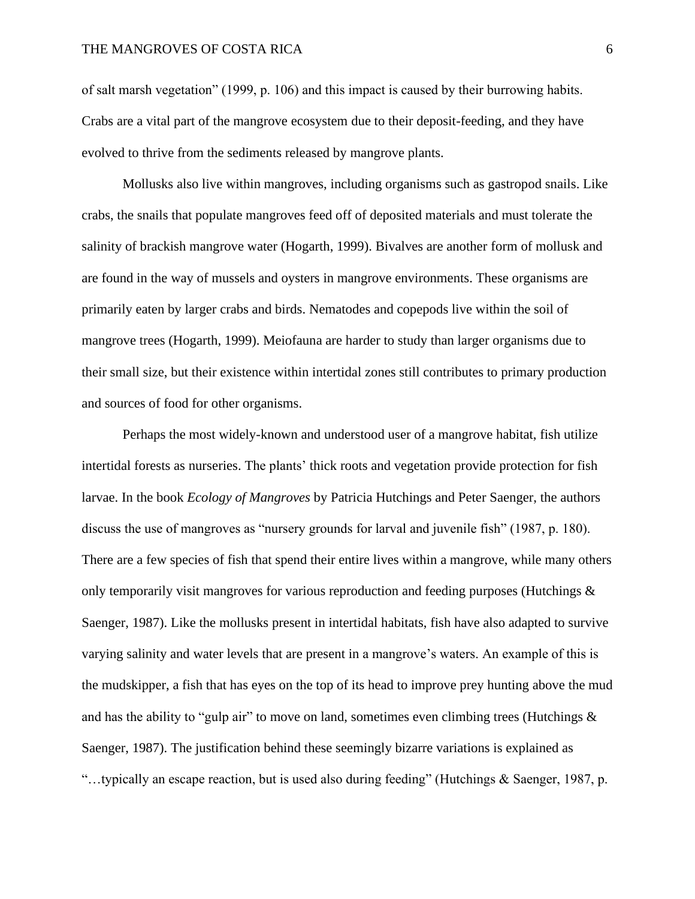# THE MANGROVES OF COSTA RICA 6

of salt marsh vegetation" (1999, p. 106) and this impact is caused by their burrowing habits. Crabs are a vital part of the mangrove ecosystem due to their deposit-feeding, and they have evolved to thrive from the sediments released by mangrove plants.

Mollusks also live within mangroves, including organisms such as gastropod snails. Like crabs, the snails that populate mangroves feed off of deposited materials and must tolerate the salinity of brackish mangrove water (Hogarth, 1999). Bivalves are another form of mollusk and are found in the way of mussels and oysters in mangrove environments. These organisms are primarily eaten by larger crabs and birds. Nematodes and copepods live within the soil of mangrove trees (Hogarth, 1999). Meiofauna are harder to study than larger organisms due to their small size, but their existence within intertidal zones still contributes to primary production and sources of food for other organisms.

Perhaps the most widely-known and understood user of a mangrove habitat, fish utilize intertidal forests as nurseries. The plants' thick roots and vegetation provide protection for fish larvae. In the book *Ecology of Mangroves* by Patricia Hutchings and Peter Saenger, the authors discuss the use of mangroves as "nursery grounds for larval and juvenile fish" (1987, p. 180). There are a few species of fish that spend their entire lives within a mangrove, while many others only temporarily visit mangroves for various reproduction and feeding purposes (Hutchings  $\&$ Saenger, 1987). Like the mollusks present in intertidal habitats, fish have also adapted to survive varying salinity and water levels that are present in a mangrove's waters. An example of this is the mudskipper, a fish that has eyes on the top of its head to improve prey hunting above the mud and has the ability to "gulp air" to move on land, sometimes even climbing trees (Hutchings  $\&$ Saenger, 1987). The justification behind these seemingly bizarre variations is explained as "…typically an escape reaction, but is used also during feeding" (Hutchings & Saenger, 1987, p.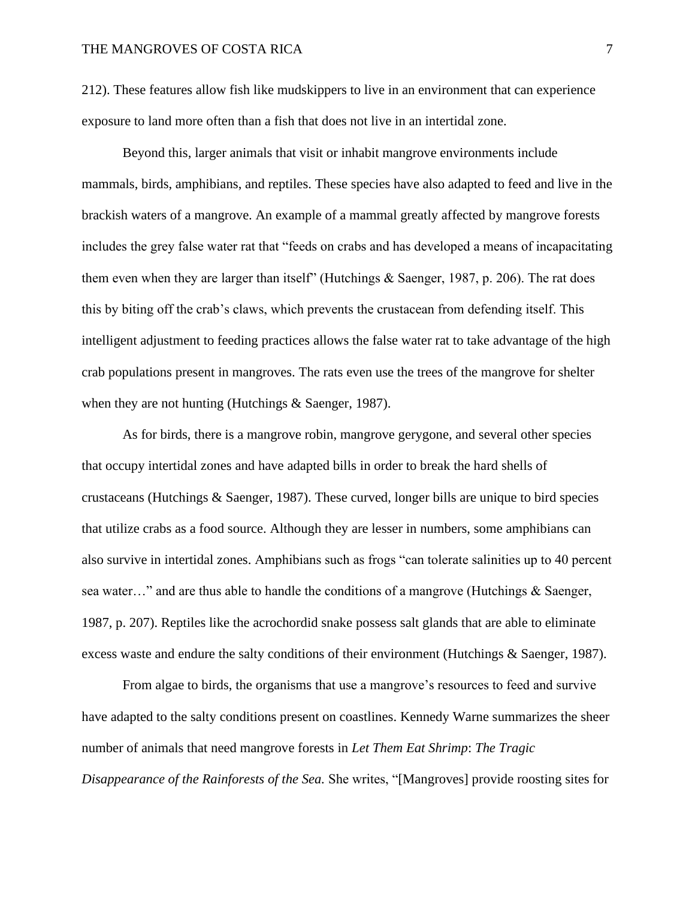212). These features allow fish like mudskippers to live in an environment that can experience exposure to land more often than a fish that does not live in an intertidal zone.

Beyond this, larger animals that visit or inhabit mangrove environments include mammals, birds, amphibians, and reptiles. These species have also adapted to feed and live in the brackish waters of a mangrove. An example of a mammal greatly affected by mangrove forests includes the grey false water rat that "feeds on crabs and has developed a means of incapacitating them even when they are larger than itself" (Hutchings  $\&$  Saenger, 1987, p. 206). The rat does this by biting off the crab's claws, which prevents the crustacean from defending itself. This intelligent adjustment to feeding practices allows the false water rat to take advantage of the high crab populations present in mangroves. The rats even use the trees of the mangrove for shelter when they are not hunting (Hutchings & Saenger, 1987).

As for birds, there is a mangrove robin, mangrove gerygone, and several other species that occupy intertidal zones and have adapted bills in order to break the hard shells of crustaceans (Hutchings & Saenger, 1987). These curved, longer bills are unique to bird species that utilize crabs as a food source. Although they are lesser in numbers, some amphibians can also survive in intertidal zones. Amphibians such as frogs "can tolerate salinities up to 40 percent sea water…" and are thus able to handle the conditions of a mangrove (Hutchings & Saenger, 1987, p. 207). Reptiles like the acrochordid snake possess salt glands that are able to eliminate excess waste and endure the salty conditions of their environment (Hutchings & Saenger, 1987).

From algae to birds, the organisms that use a mangrove's resources to feed and survive have adapted to the salty conditions present on coastlines. Kennedy Warne summarizes the sheer number of animals that need mangrove forests in *Let Them Eat Shrimp*: *The Tragic Disappearance of the Rainforests of the Sea.* She writes, "[Mangroves] provide roosting sites for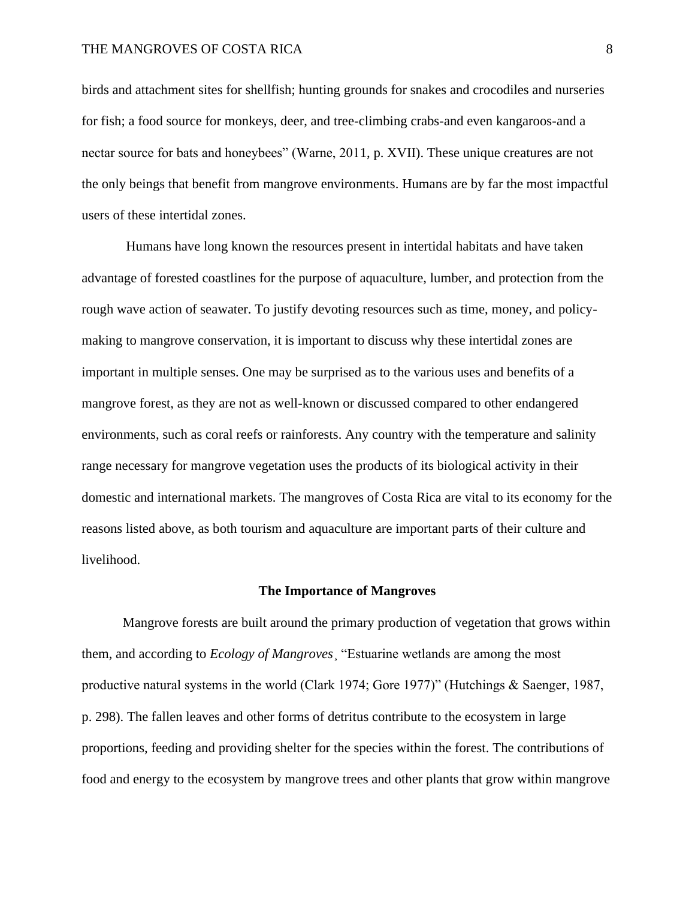birds and attachment sites for shellfish; hunting grounds for snakes and crocodiles and nurseries for fish; a food source for monkeys, deer, and tree-climbing crabs-and even kangaroos-and a nectar source for bats and honeybees" (Warne, 2011, p. XVII). These unique creatures are not the only beings that benefit from mangrove environments. Humans are by far the most impactful users of these intertidal zones.

Humans have long known the resources present in intertidal habitats and have taken advantage of forested coastlines for the purpose of aquaculture, lumber, and protection from the rough wave action of seawater. To justify devoting resources such as time, money, and policymaking to mangrove conservation, it is important to discuss why these intertidal zones are important in multiple senses. One may be surprised as to the various uses and benefits of a mangrove forest, as they are not as well-known or discussed compared to other endangered environments, such as coral reefs or rainforests. Any country with the temperature and salinity range necessary for mangrove vegetation uses the products of its biological activity in their domestic and international markets. The mangroves of Costa Rica are vital to its economy for the reasons listed above, as both tourism and aquaculture are important parts of their culture and livelihood.

# **The Importance of Mangroves**

Mangrove forests are built around the primary production of vegetation that grows within them, and according to *Ecology of Mangroves*¸ "Estuarine wetlands are among the most productive natural systems in the world (Clark 1974; Gore 1977)" (Hutchings & Saenger, 1987, p. 298). The fallen leaves and other forms of detritus contribute to the ecosystem in large proportions, feeding and providing shelter for the species within the forest. The contributions of food and energy to the ecosystem by mangrove trees and other plants that grow within mangrove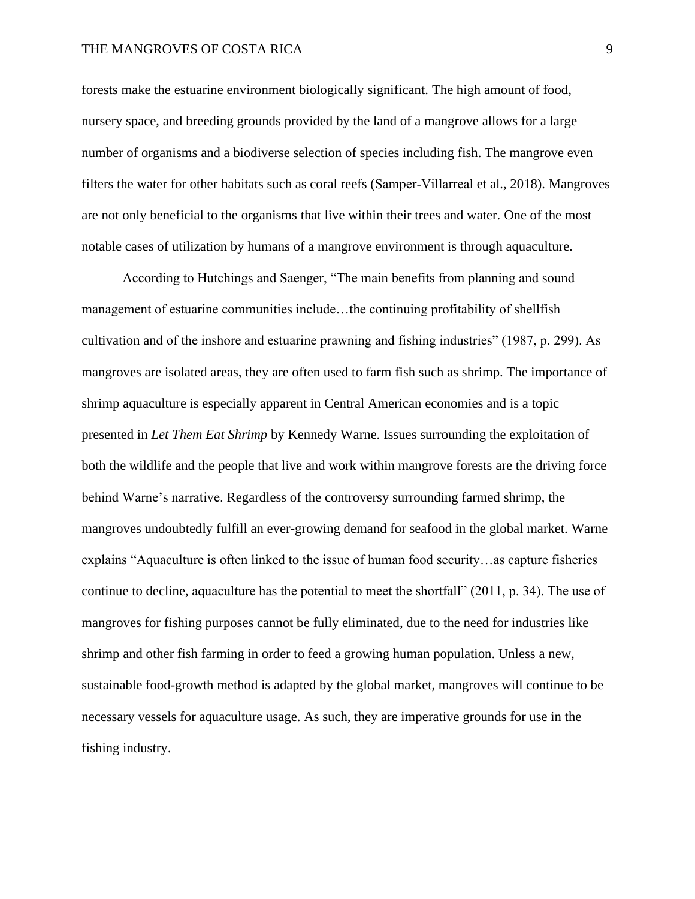# THE MANGROVES OF COSTA RICA  $9$

forests make the estuarine environment biologically significant. The high amount of food, nursery space, and breeding grounds provided by the land of a mangrove allows for a large number of organisms and a biodiverse selection of species including fish. The mangrove even filters the water for other habitats such as coral reefs (Samper‐Villarreal et al., 2018). Mangroves are not only beneficial to the organisms that live within their trees and water. One of the most notable cases of utilization by humans of a mangrove environment is through aquaculture.

According to Hutchings and Saenger, "The main benefits from planning and sound management of estuarine communities include…the continuing profitability of shellfish cultivation and of the inshore and estuarine prawning and fishing industries" (1987, p. 299). As mangroves are isolated areas, they are often used to farm fish such as shrimp. The importance of shrimp aquaculture is especially apparent in Central American economies and is a topic presented in *Let Them Eat Shrimp* by Kennedy Warne. Issues surrounding the exploitation of both the wildlife and the people that live and work within mangrove forests are the driving force behind Warne's narrative. Regardless of the controversy surrounding farmed shrimp, the mangroves undoubtedly fulfill an ever-growing demand for seafood in the global market. Warne explains "Aquaculture is often linked to the issue of human food security…as capture fisheries continue to decline, aquaculture has the potential to meet the shortfall" (2011, p. 34). The use of mangroves for fishing purposes cannot be fully eliminated, due to the need for industries like shrimp and other fish farming in order to feed a growing human population. Unless a new, sustainable food-growth method is adapted by the global market, mangroves will continue to be necessary vessels for aquaculture usage. As such, they are imperative grounds for use in the fishing industry.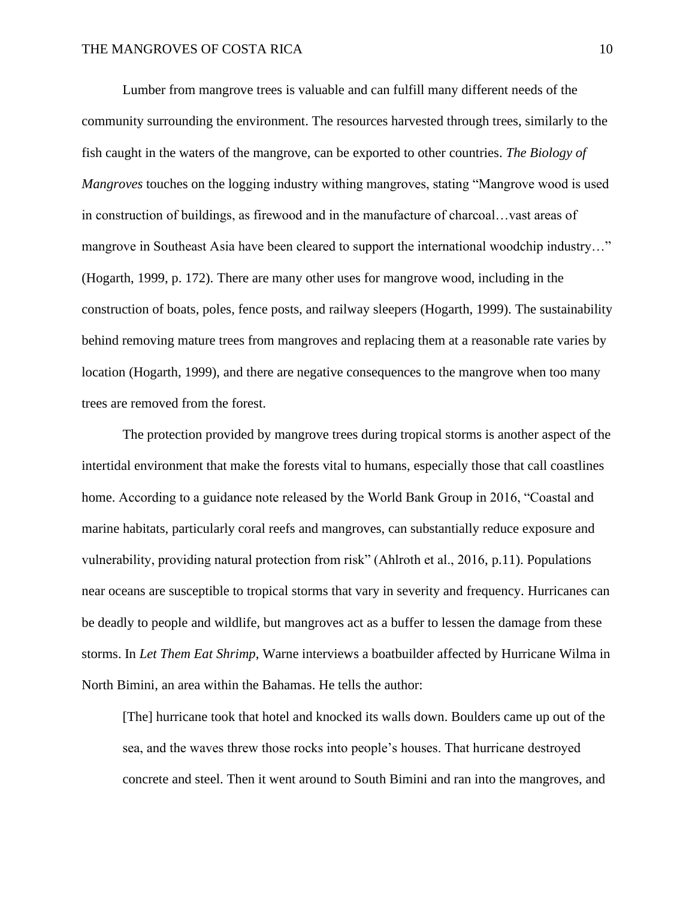Lumber from mangrove trees is valuable and can fulfill many different needs of the community surrounding the environment. The resources harvested through trees, similarly to the fish caught in the waters of the mangrove, can be exported to other countries. *The Biology of Mangroves* touches on the logging industry withing mangroves, stating "Mangrove wood is used in construction of buildings, as firewood and in the manufacture of charcoal…vast areas of mangrove in Southeast Asia have been cleared to support the international woodchip industry…" (Hogarth, 1999, p. 172). There are many other uses for mangrove wood, including in the construction of boats, poles, fence posts, and railway sleepers (Hogarth, 1999). The sustainability behind removing mature trees from mangroves and replacing them at a reasonable rate varies by location (Hogarth, 1999), and there are negative consequences to the mangrove when too many trees are removed from the forest.

The protection provided by mangrove trees during tropical storms is another aspect of the intertidal environment that make the forests vital to humans, especially those that call coastlines home. According to a guidance note released by the World Bank Group in 2016, "Coastal and marine habitats, particularly coral reefs and mangroves, can substantially reduce exposure and vulnerability, providing natural protection from risk" (Ahlroth et al., 2016, p.11). Populations near oceans are susceptible to tropical storms that vary in severity and frequency. Hurricanes can be deadly to people and wildlife, but mangroves act as a buffer to lessen the damage from these storms. In *Let Them Eat Shrimp*, Warne interviews a boatbuilder affected by Hurricane Wilma in North Bimini, an area within the Bahamas. He tells the author:

[The] hurricane took that hotel and knocked its walls down. Boulders came up out of the sea, and the waves threw those rocks into people's houses. That hurricane destroyed concrete and steel. Then it went around to South Bimini and ran into the mangroves, and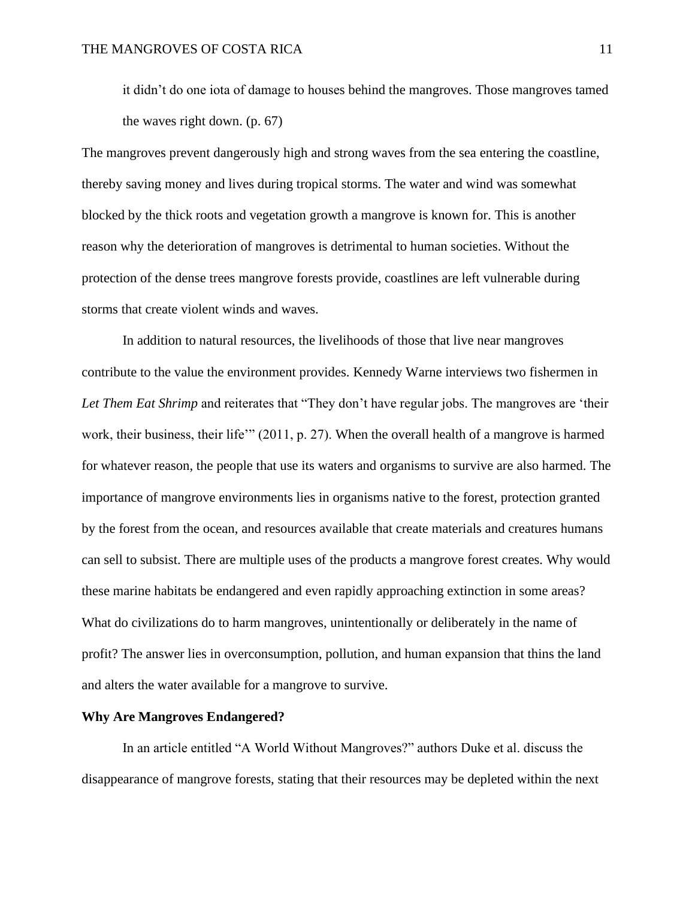it didn't do one iota of damage to houses behind the mangroves. Those mangroves tamed the waves right down. (p. 67)

The mangroves prevent dangerously high and strong waves from the sea entering the coastline, thereby saving money and lives during tropical storms. The water and wind was somewhat blocked by the thick roots and vegetation growth a mangrove is known for. This is another reason why the deterioration of mangroves is detrimental to human societies. Without the protection of the dense trees mangrove forests provide, coastlines are left vulnerable during storms that create violent winds and waves.

In addition to natural resources, the livelihoods of those that live near mangroves contribute to the value the environment provides. Kennedy Warne interviews two fishermen in *Let Them Eat Shrimp* and reiterates that "They don't have regular jobs. The mangroves are 'their work, their business, their life'" (2011, p. 27). When the overall health of a mangrove is harmed for whatever reason, the people that use its waters and organisms to survive are also harmed. The importance of mangrove environments lies in organisms native to the forest, protection granted by the forest from the ocean, and resources available that create materials and creatures humans can sell to subsist. There are multiple uses of the products a mangrove forest creates. Why would these marine habitats be endangered and even rapidly approaching extinction in some areas? What do civilizations do to harm mangroves, unintentionally or deliberately in the name of profit? The answer lies in overconsumption, pollution, and human expansion that thins the land and alters the water available for a mangrove to survive.

#### **Why Are Mangroves Endangered?**

In an article entitled "A World Without Mangroves?" authors Duke et al. discuss the disappearance of mangrove forests, stating that their resources may be depleted within the next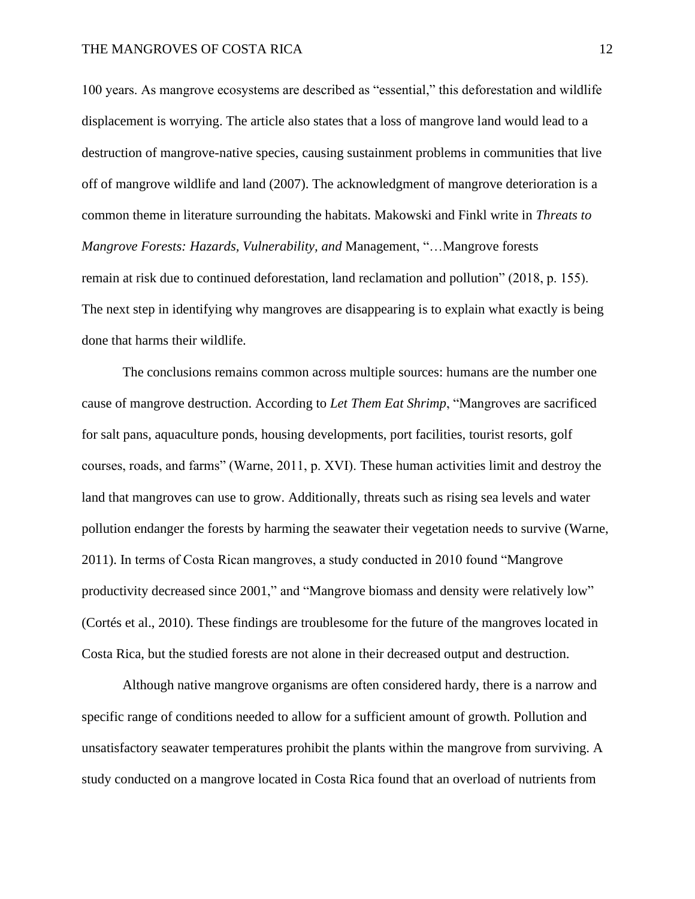100 years. As mangrove ecosystems are described as "essential," this deforestation and wildlife displacement is worrying. The article also states that a loss of mangrove land would lead to a destruction of mangrove-native species, causing sustainment problems in communities that live off of mangrove wildlife and land (2007). The acknowledgment of mangrove deterioration is a common theme in literature surrounding the habitats. Makowski and Finkl write in *Threats to Mangrove Forests: Hazards, Vulnerability, and* Management, "…Mangrove forests remain at risk due to continued deforestation, land reclamation and pollution" (2018, p. 155). The next step in identifying why mangroves are disappearing is to explain what exactly is being done that harms their wildlife.

The conclusions remains common across multiple sources: humans are the number one cause of mangrove destruction. According to *Let Them Eat Shrimp*, "Mangroves are sacrificed for salt pans, aquaculture ponds, housing developments, port facilities, tourist resorts, golf courses, roads, and farms" (Warne, 2011, p. XVI). These human activities limit and destroy the land that mangroves can use to grow. Additionally, threats such as rising sea levels and water pollution endanger the forests by harming the seawater their vegetation needs to survive (Warne, 2011). In terms of Costa Rican mangroves, a study conducted in 2010 found "Mangrove productivity decreased since 2001," and "Mangrove biomass and density were relatively low" (Cortés et al., 2010). These findings are troublesome for the future of the mangroves located in Costa Rica, but the studied forests are not alone in their decreased output and destruction.

Although native mangrove organisms are often considered hardy, there is a narrow and specific range of conditions needed to allow for a sufficient amount of growth. Pollution and unsatisfactory seawater temperatures prohibit the plants within the mangrove from surviving. A study conducted on a mangrove located in Costa Rica found that an overload of nutrients from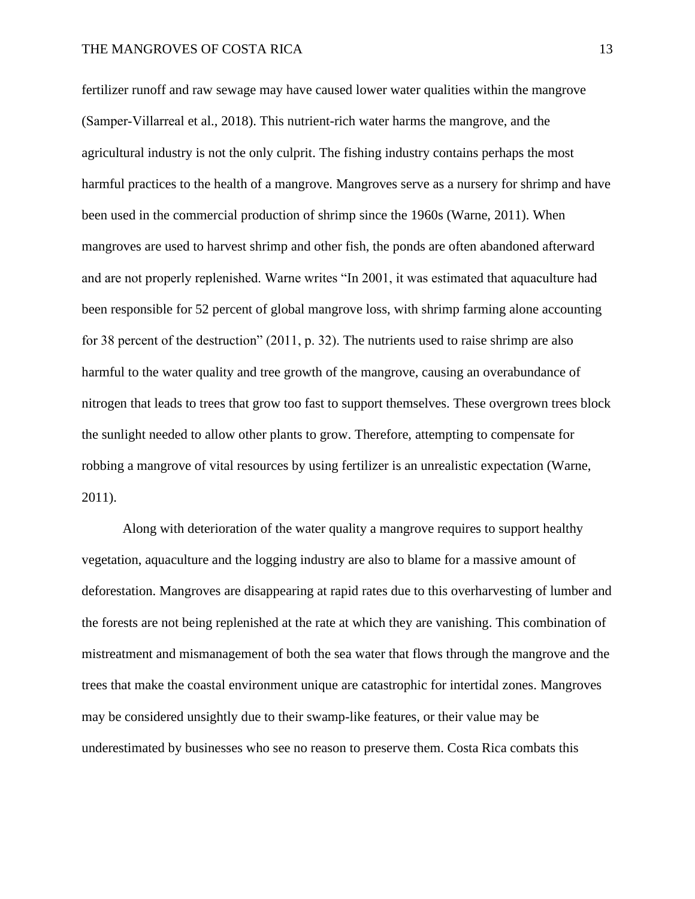fertilizer runoff and raw sewage may have caused lower water qualities within the mangrove (Samper‐Villarreal et al., 2018). This nutrient-rich water harms the mangrove, and the agricultural industry is not the only culprit. The fishing industry contains perhaps the most harmful practices to the health of a mangrove. Mangroves serve as a nursery for shrimp and have been used in the commercial production of shrimp since the 1960s (Warne, 2011). When mangroves are used to harvest shrimp and other fish, the ponds are often abandoned afterward and are not properly replenished. Warne writes "In 2001, it was estimated that aquaculture had been responsible for 52 percent of global mangrove loss, with shrimp farming alone accounting for 38 percent of the destruction" (2011, p. 32). The nutrients used to raise shrimp are also harmful to the water quality and tree growth of the mangrove, causing an overabundance of nitrogen that leads to trees that grow too fast to support themselves. These overgrown trees block the sunlight needed to allow other plants to grow. Therefore, attempting to compensate for robbing a mangrove of vital resources by using fertilizer is an unrealistic expectation (Warne, 2011).

Along with deterioration of the water quality a mangrove requires to support healthy vegetation, aquaculture and the logging industry are also to blame for a massive amount of deforestation. Mangroves are disappearing at rapid rates due to this overharvesting of lumber and the forests are not being replenished at the rate at which they are vanishing. This combination of mistreatment and mismanagement of both the sea water that flows through the mangrove and the trees that make the coastal environment unique are catastrophic for intertidal zones. Mangroves may be considered unsightly due to their swamp-like features, or their value may be underestimated by businesses who see no reason to preserve them. Costa Rica combats this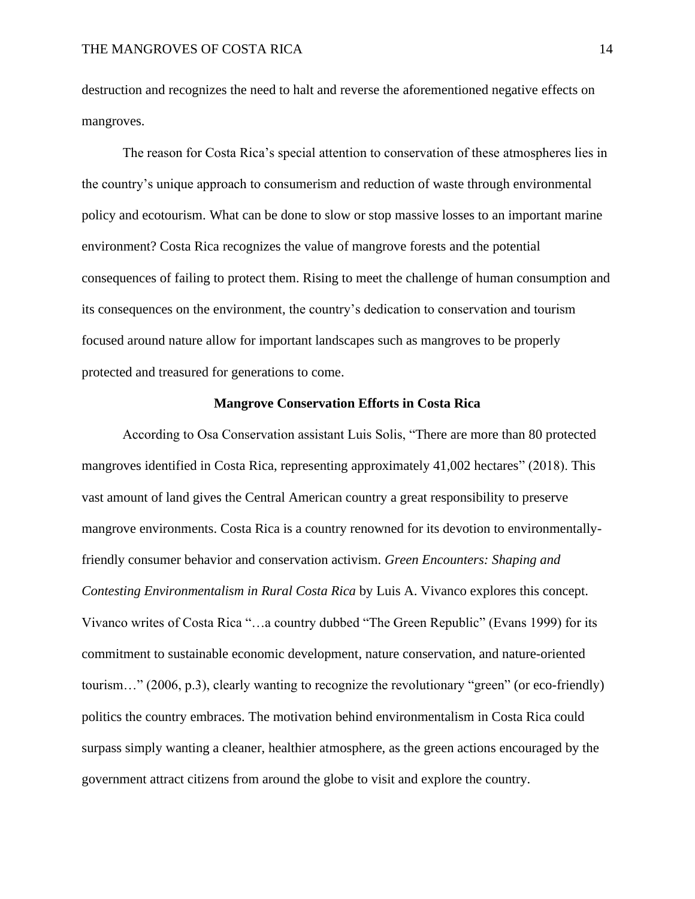destruction and recognizes the need to halt and reverse the aforementioned negative effects on mangroves.

The reason for Costa Rica's special attention to conservation of these atmospheres lies in the country's unique approach to consumerism and reduction of waste through environmental policy and ecotourism. What can be done to slow or stop massive losses to an important marine environment? Costa Rica recognizes the value of mangrove forests and the potential consequences of failing to protect them. Rising to meet the challenge of human consumption and its consequences on the environment, the country's dedication to conservation and tourism focused around nature allow for important landscapes such as mangroves to be properly protected and treasured for generations to come.

# **Mangrove Conservation Efforts in Costa Rica**

According to Osa Conservation assistant Luis Solis, "There are more than 80 protected mangroves identified in Costa Rica, representing approximately 41,002 hectares" (2018). This vast amount of land gives the Central American country a great responsibility to preserve mangrove environments. Costa Rica is a country renowned for its devotion to environmentallyfriendly consumer behavior and conservation activism. *Green Encounters: Shaping and Contesting Environmentalism in Rural Costa Rica* by Luis A. Vivanco explores this concept. Vivanco writes of Costa Rica "…a country dubbed "The Green Republic" (Evans 1999) for its commitment to sustainable economic development, nature conservation, and nature-oriented tourism…" (2006, p.3), clearly wanting to recognize the revolutionary "green" (or eco-friendly) politics the country embraces. The motivation behind environmentalism in Costa Rica could surpass simply wanting a cleaner, healthier atmosphere, as the green actions encouraged by the government attract citizens from around the globe to visit and explore the country.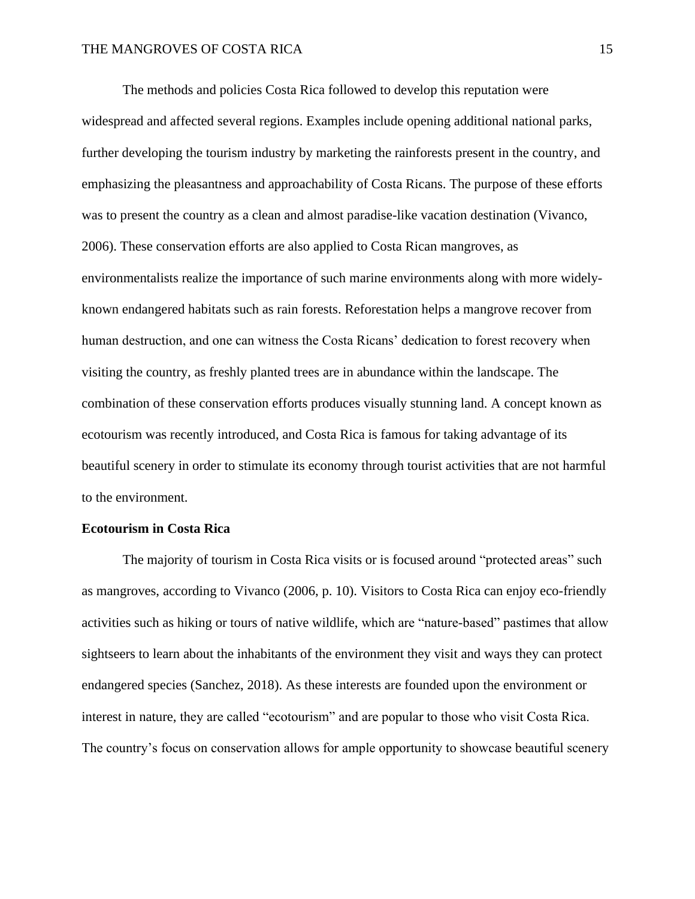The methods and policies Costa Rica followed to develop this reputation were widespread and affected several regions. Examples include opening additional national parks, further developing the tourism industry by marketing the rainforests present in the country, and emphasizing the pleasantness and approachability of Costa Ricans. The purpose of these efforts was to present the country as a clean and almost paradise-like vacation destination (Vivanco, 2006). These conservation efforts are also applied to Costa Rican mangroves, as environmentalists realize the importance of such marine environments along with more widelyknown endangered habitats such as rain forests. Reforestation helps a mangrove recover from human destruction, and one can witness the Costa Ricans' dedication to forest recovery when visiting the country, as freshly planted trees are in abundance within the landscape. The combination of these conservation efforts produces visually stunning land. A concept known as ecotourism was recently introduced, and Costa Rica is famous for taking advantage of its beautiful scenery in order to stimulate its economy through tourist activities that are not harmful to the environment.

#### **Ecotourism in Costa Rica**

The majority of tourism in Costa Rica visits or is focused around "protected areas" such as mangroves, according to Vivanco (2006, p. 10). Visitors to Costa Rica can enjoy eco-friendly activities such as hiking or tours of native wildlife, which are "nature-based" pastimes that allow sightseers to learn about the inhabitants of the environment they visit and ways they can protect endangered species (Sanchez, 2018). As these interests are founded upon the environment or interest in nature, they are called "ecotourism" and are popular to those who visit Costa Rica. The country's focus on conservation allows for ample opportunity to showcase beautiful scenery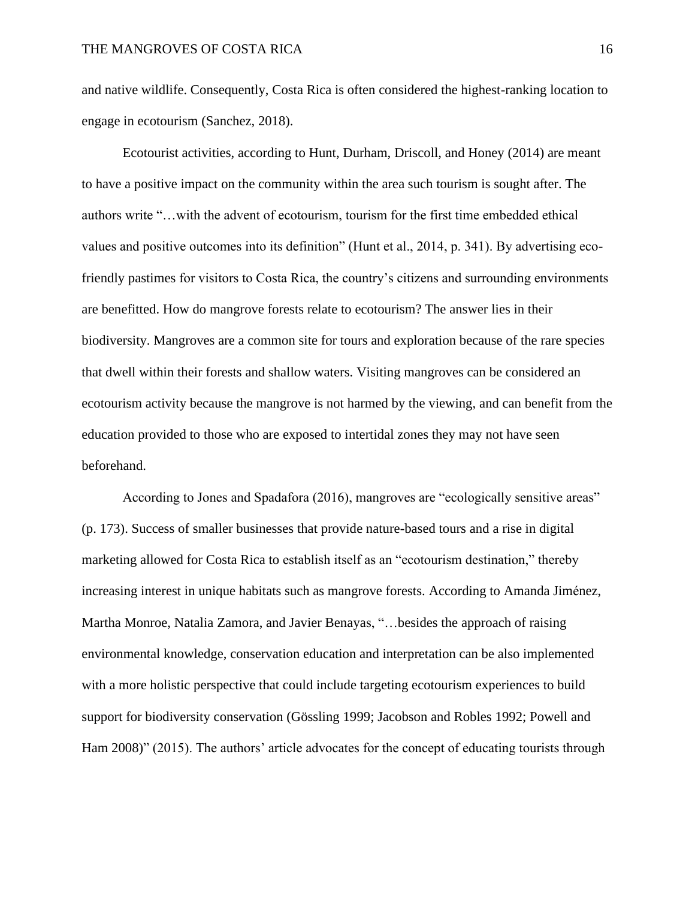and native wildlife. Consequently, Costa Rica is often considered the highest-ranking location to engage in ecotourism (Sanchez, 2018).

Ecotourist activities, according to Hunt, Durham, Driscoll, and Honey (2014) are meant to have a positive impact on the community within the area such tourism is sought after. The authors write "…with the advent of ecotourism, tourism for the first time embedded ethical values and positive outcomes into its definition" (Hunt et al., 2014, p. 341). By advertising ecofriendly pastimes for visitors to Costa Rica, the country's citizens and surrounding environments are benefitted. How do mangrove forests relate to ecotourism? The answer lies in their biodiversity. Mangroves are a common site for tours and exploration because of the rare species that dwell within their forests and shallow waters. Visiting mangroves can be considered an ecotourism activity because the mangrove is not harmed by the viewing, and can benefit from the education provided to those who are exposed to intertidal zones they may not have seen beforehand.

According to Jones and Spadafora (2016), mangroves are "ecologically sensitive areas" (p. 173). Success of smaller businesses that provide nature-based tours and a rise in digital marketing allowed for Costa Rica to establish itself as an "ecotourism destination," thereby increasing interest in unique habitats such as mangrove forests. According to Amanda Jiménez, Martha Monroe, Natalia Zamora, and Javier Benayas, "…besides the approach of raising environmental knowledge, conservation education and interpretation can be also implemented with a more holistic perspective that could include targeting ecotourism experiences to build support for biodiversity conservation (Gössling 1999; Jacobson and Robles 1992; Powell and Ham 2008)" (2015). The authors' article advocates for the concept of educating tourists through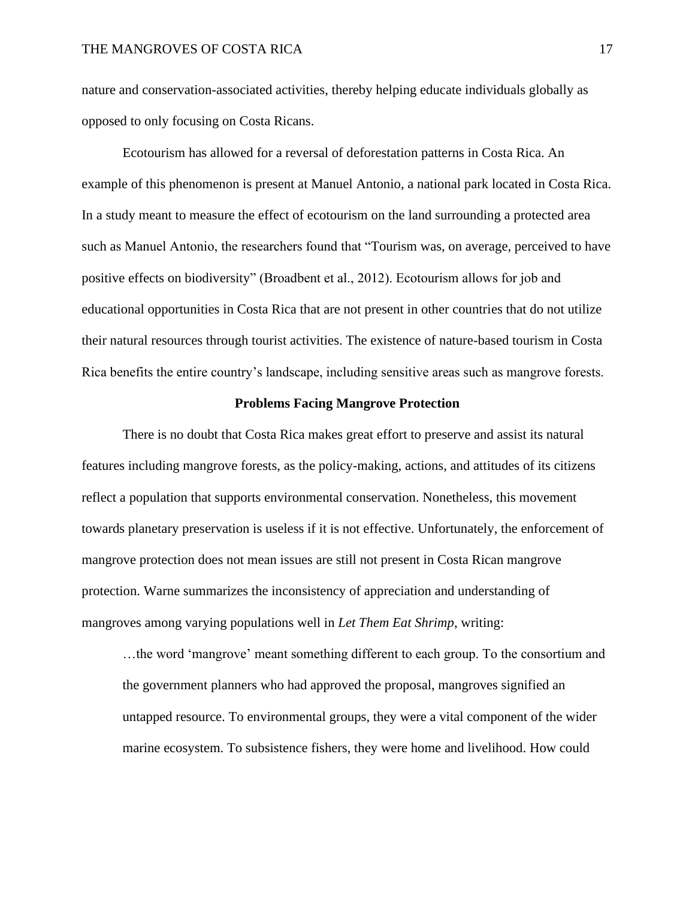nature and conservation-associated activities, thereby helping educate individuals globally as opposed to only focusing on Costa Ricans.

Ecotourism has allowed for a reversal of deforestation patterns in Costa Rica. An example of this phenomenon is present at Manuel Antonio, a national park located in Costa Rica. In a study meant to measure the effect of ecotourism on the land surrounding a protected area such as Manuel Antonio, the researchers found that "Tourism was, on average, perceived to have positive effects on biodiversity" (Broadbent et al., 2012). Ecotourism allows for job and educational opportunities in Costa Rica that are not present in other countries that do not utilize their natural resources through tourist activities. The existence of nature-based tourism in Costa Rica benefits the entire country's landscape, including sensitive areas such as mangrove forests.

#### **Problems Facing Mangrove Protection**

There is no doubt that Costa Rica makes great effort to preserve and assist its natural features including mangrove forests, as the policy-making, actions, and attitudes of its citizens reflect a population that supports environmental conservation. Nonetheless, this movement towards planetary preservation is useless if it is not effective. Unfortunately, the enforcement of mangrove protection does not mean issues are still not present in Costa Rican mangrove protection. Warne summarizes the inconsistency of appreciation and understanding of mangroves among varying populations well in *Let Them Eat Shrimp*, writing:

…the word 'mangrove' meant something different to each group. To the consortium and the government planners who had approved the proposal, mangroves signified an untapped resource. To environmental groups, they were a vital component of the wider marine ecosystem. To subsistence fishers, they were home and livelihood. How could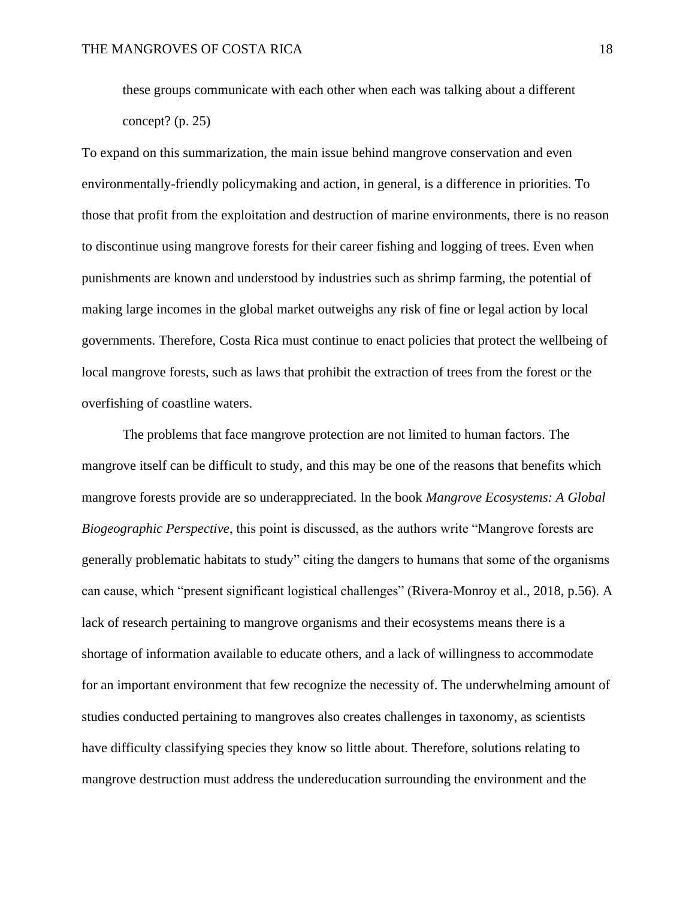these groups communicate with each other when each was talking about a different concept?  $(p. 25)$ 

To expand on this summarization, the main issue behind mangrove conservation and even environmentally-friendly policymaking and action, in general, is a difference in priorities. To those that profit from the exploitation and destruction of marine environments, there is no reason to discontinue using mangrove forests for their career fishing and logging of trees. Even when punishments are known and understood by industries such as shrimp farming, the potential of making large incomes in the global market outweighs any risk of fine or legal action by local governments. Therefore, Costa Rica must continue to enact policies that protect the wellbeing of local mangrove forests, such as laws that prohibit the extraction of trees from the forest or the overfishing of coastline waters.

The problems that face mangrove protection are not limited to human factors. The mangrove itself can be difficult to study, and this may be one of the reasons that benefits which mangrove forests provide are so underappreciated. In the book *Mangrove Ecosystems: A Global Biogeographic Perspective*, this point is discussed, as the authors write "Mangrove forests are generally problematic habitats to study" citing the dangers to humans that some of the organisms can cause, which "present significant logistical challenges" (Rivera-Monroy et al., 2018, p.56). A lack of research pertaining to mangrove organisms and their ecosystems means there is a shortage of information available to educate others, and a lack of willingness to accommodate for an important environment that few recognize the necessity of. The underwhelming amount of studies conducted pertaining to mangroves also creates challenges in taxonomy, as scientists have difficulty classifying species they know so little about. Therefore, solutions relating to mangrove destruction must address the undereducation surrounding the environment and the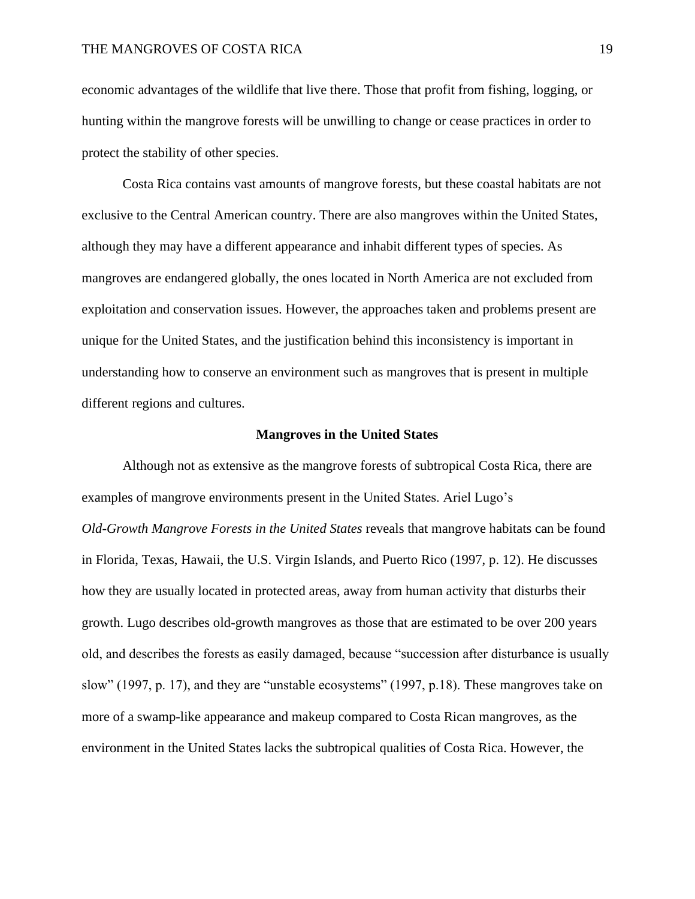economic advantages of the wildlife that live there. Those that profit from fishing, logging, or hunting within the mangrove forests will be unwilling to change or cease practices in order to protect the stability of other species.

Costa Rica contains vast amounts of mangrove forests, but these coastal habitats are not exclusive to the Central American country. There are also mangroves within the United States, although they may have a different appearance and inhabit different types of species. As mangroves are endangered globally, the ones located in North America are not excluded from exploitation and conservation issues. However, the approaches taken and problems present are unique for the United States, and the justification behind this inconsistency is important in understanding how to conserve an environment such as mangroves that is present in multiple different regions and cultures.

#### **Mangroves in the United States**

Although not as extensive as the mangrove forests of subtropical Costa Rica, there are examples of mangrove environments present in the United States. Ariel Lugo's *Old-Growth Mangrove Forests in the United States* reveals that mangrove habitats can be found in Florida, Texas, Hawaii, the U.S. Virgin Islands, and Puerto Rico (1997, p. 12). He discusses how they are usually located in protected areas, away from human activity that disturbs their growth. Lugo describes old-growth mangroves as those that are estimated to be over 200 years old, and describes the forests as easily damaged, because "succession after disturbance is usually slow" (1997, p. 17), and they are "unstable ecosystems" (1997, p.18). These mangroves take on more of a swamp-like appearance and makeup compared to Costa Rican mangroves, as the environment in the United States lacks the subtropical qualities of Costa Rica. However, the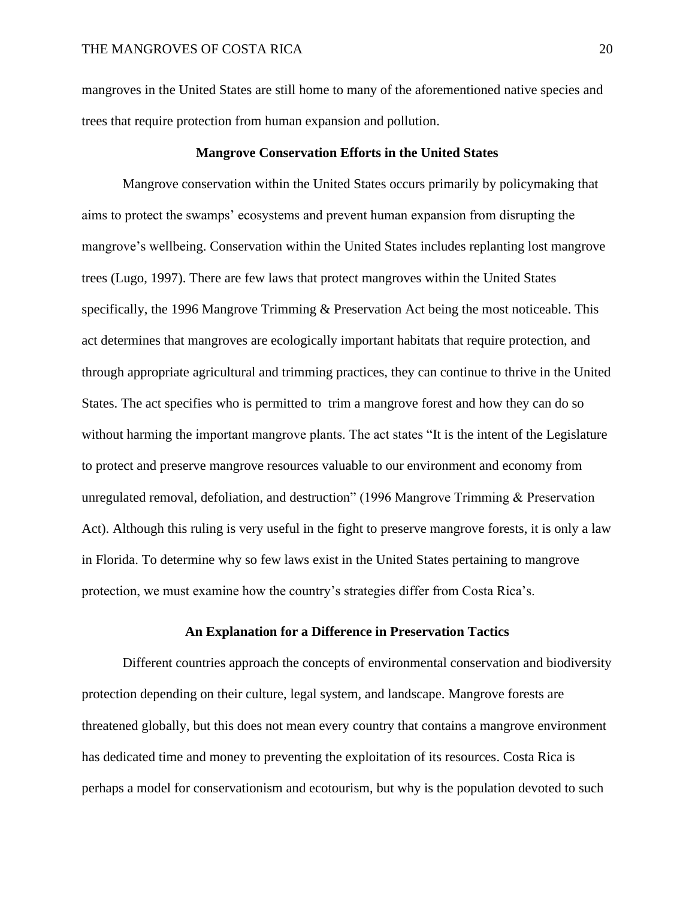mangroves in the United States are still home to many of the aforementioned native species and trees that require protection from human expansion and pollution.

# **Mangrove Conservation Efforts in the United States**

Mangrove conservation within the United States occurs primarily by policymaking that aims to protect the swamps' ecosystems and prevent human expansion from disrupting the mangrove's wellbeing. Conservation within the United States includes replanting lost mangrove trees (Lugo, 1997). There are few laws that protect mangroves within the United States specifically, the 1996 Mangrove Trimming & Preservation Act being the most noticeable. This act determines that mangroves are ecologically important habitats that require protection, and through appropriate agricultural and trimming practices, they can continue to thrive in the United States. The act specifies who is permitted to trim a mangrove forest and how they can do so without harming the important mangrove plants. The act states "It is the intent of the Legislature to protect and preserve mangrove resources valuable to our environment and economy from unregulated removal, defoliation, and destruction" (1996 Mangrove Trimming & Preservation Act). Although this ruling is very useful in the fight to preserve mangrove forests, it is only a law in Florida. To determine why so few laws exist in the United States pertaining to mangrove protection, we must examine how the country's strategies differ from Costa Rica's.

#### **An Explanation for a Difference in Preservation Tactics**

Different countries approach the concepts of environmental conservation and biodiversity protection depending on their culture, legal system, and landscape. Mangrove forests are threatened globally, but this does not mean every country that contains a mangrove environment has dedicated time and money to preventing the exploitation of its resources. Costa Rica is perhaps a model for conservationism and ecotourism, but why is the population devoted to such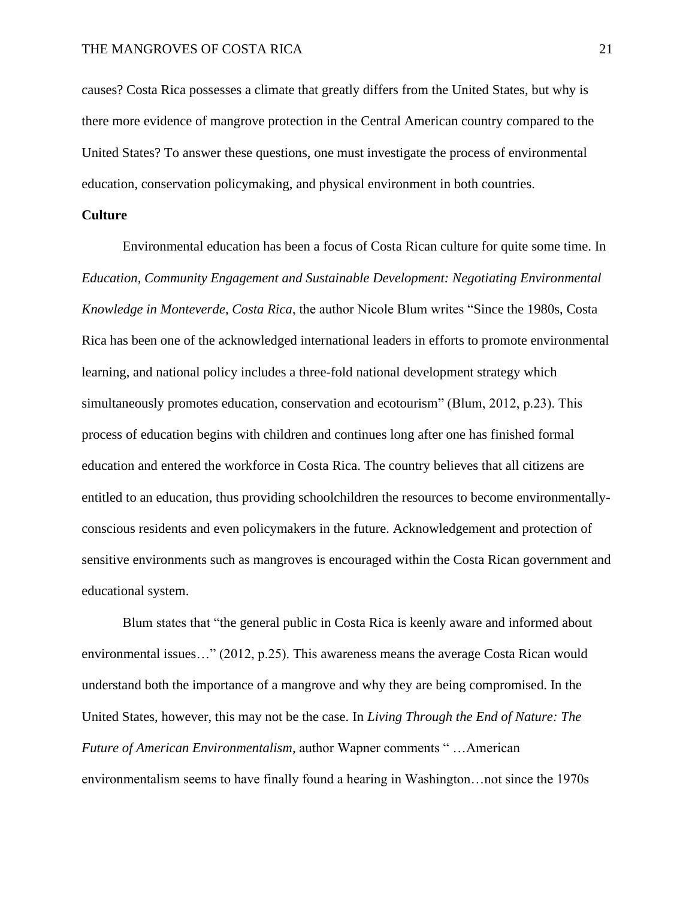causes? Costa Rica possesses a climate that greatly differs from the United States, but why is there more evidence of mangrove protection in the Central American country compared to the United States? To answer these questions, one must investigate the process of environmental education, conservation policymaking, and physical environment in both countries.

# **Culture**

Environmental education has been a focus of Costa Rican culture for quite some time. In *Education, Community Engagement and Sustainable Development: Negotiating Environmental Knowledge in Monteverde, Costa Rica*, the author Nicole Blum writes "Since the 1980s, Costa Rica has been one of the acknowledged international leaders in efforts to promote environmental learning, and national policy includes a three-fold national development strategy which simultaneously promotes education, conservation and ecotourism" (Blum, 2012, p.23). This process of education begins with children and continues long after one has finished formal education and entered the workforce in Costa Rica. The country believes that all citizens are entitled to an education, thus providing schoolchildren the resources to become environmentallyconscious residents and even policymakers in the future. Acknowledgement and protection of sensitive environments such as mangroves is encouraged within the Costa Rican government and educational system.

Blum states that "the general public in Costa Rica is keenly aware and informed about environmental issues…" (2012, p.25). This awareness means the average Costa Rican would understand both the importance of a mangrove and why they are being compromised. In the United States, however, this may not be the case. In *Living Through the End of Nature: The Future of American Environmentalism,* author Wapner comments " …American environmentalism seems to have finally found a hearing in Washington…not since the 1970s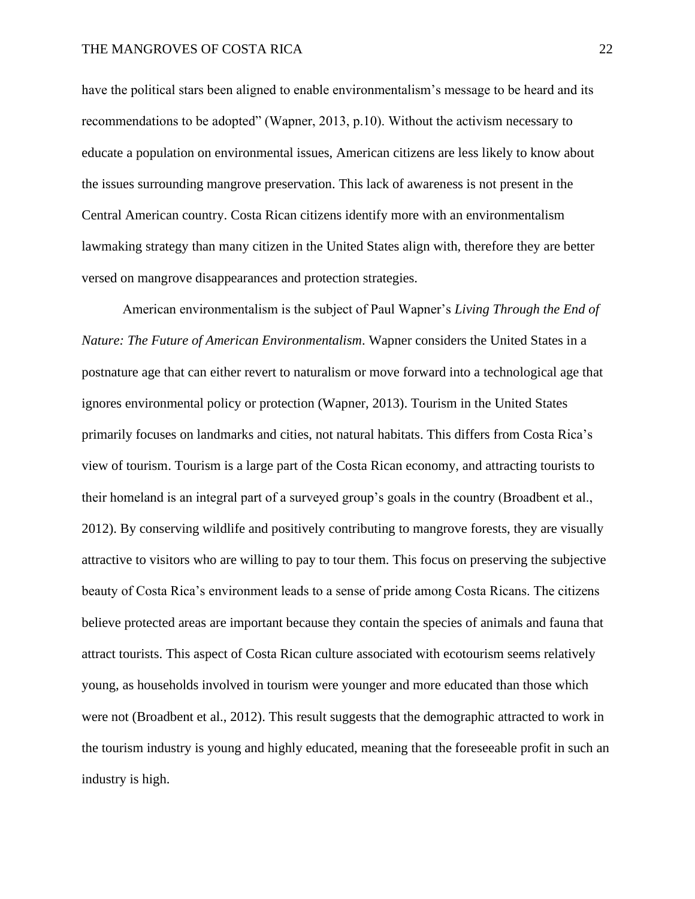have the political stars been aligned to enable environmentalism's message to be heard and its recommendations to be adopted" (Wapner, 2013, p.10). Without the activism necessary to educate a population on environmental issues, American citizens are less likely to know about the issues surrounding mangrove preservation. This lack of awareness is not present in the Central American country. Costa Rican citizens identify more with an environmentalism lawmaking strategy than many citizen in the United States align with, therefore they are better versed on mangrove disappearances and protection strategies.

American environmentalism is the subject of Paul Wapner's *Living Through the End of Nature: The Future of American Environmentalism*. Wapner considers the United States in a postnature age that can either revert to naturalism or move forward into a technological age that ignores environmental policy or protection (Wapner, 2013). Tourism in the United States primarily focuses on landmarks and cities, not natural habitats. This differs from Costa Rica's view of tourism. Tourism is a large part of the Costa Rican economy, and attracting tourists to their homeland is an integral part of a surveyed group's goals in the country (Broadbent et al., 2012). By conserving wildlife and positively contributing to mangrove forests, they are visually attractive to visitors who are willing to pay to tour them. This focus on preserving the subjective beauty of Costa Rica's environment leads to a sense of pride among Costa Ricans. The citizens believe protected areas are important because they contain the species of animals and fauna that attract tourists. This aspect of Costa Rican culture associated with ecotourism seems relatively young, as households involved in tourism were younger and more educated than those which were not (Broadbent et al., 2012). This result suggests that the demographic attracted to work in the tourism industry is young and highly educated, meaning that the foreseeable profit in such an industry is high.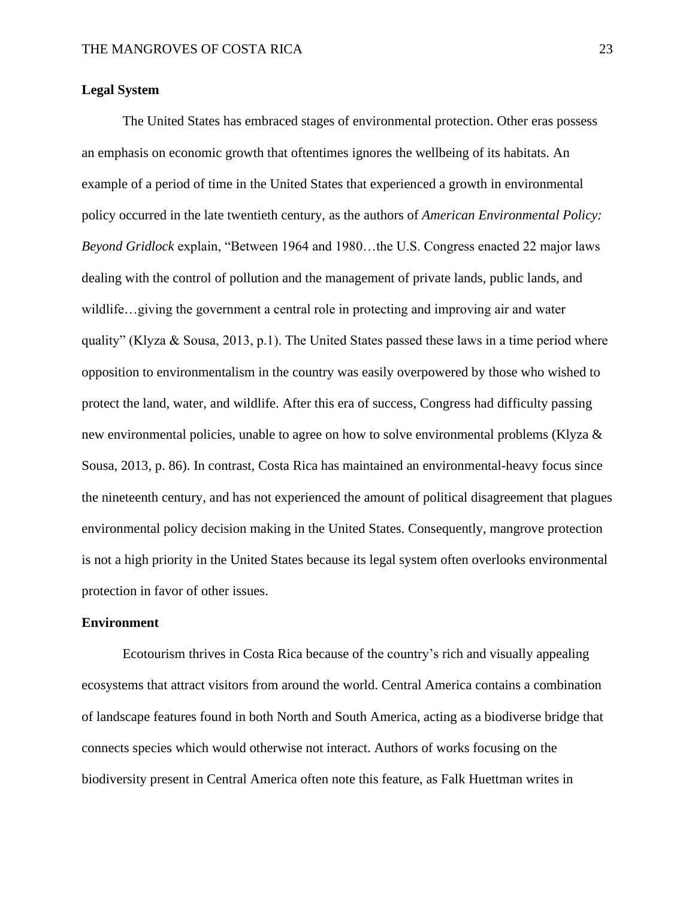# **Legal System**

The United States has embraced stages of environmental protection. Other eras possess an emphasis on economic growth that oftentimes ignores the wellbeing of its habitats. An example of a period of time in the United States that experienced a growth in environmental policy occurred in the late twentieth century, as the authors of *American Environmental Policy: Beyond Gridlock* explain, "Between 1964 and 1980…the U.S. Congress enacted 22 major laws dealing with the control of pollution and the management of private lands, public lands, and wildlife…giving the government a central role in protecting and improving air and water quality" (Klyza & Sousa, 2013, p.1). The United States passed these laws in a time period where opposition to environmentalism in the country was easily overpowered by those who wished to protect the land, water, and wildlife. After this era of success, Congress had difficulty passing new environmental policies, unable to agree on how to solve environmental problems (Klyza & Sousa, 2013, p. 86). In contrast, Costa Rica has maintained an environmental-heavy focus since the nineteenth century, and has not experienced the amount of political disagreement that plagues environmental policy decision making in the United States. Consequently, mangrove protection is not a high priority in the United States because its legal system often overlooks environmental protection in favor of other issues.

# **Environment**

Ecotourism thrives in Costa Rica because of the country's rich and visually appealing ecosystems that attract visitors from around the world. Central America contains a combination of landscape features found in both North and South America, acting as a biodiverse bridge that connects species which would otherwise not interact. Authors of works focusing on the biodiversity present in Central America often note this feature, as Falk Huettman writes in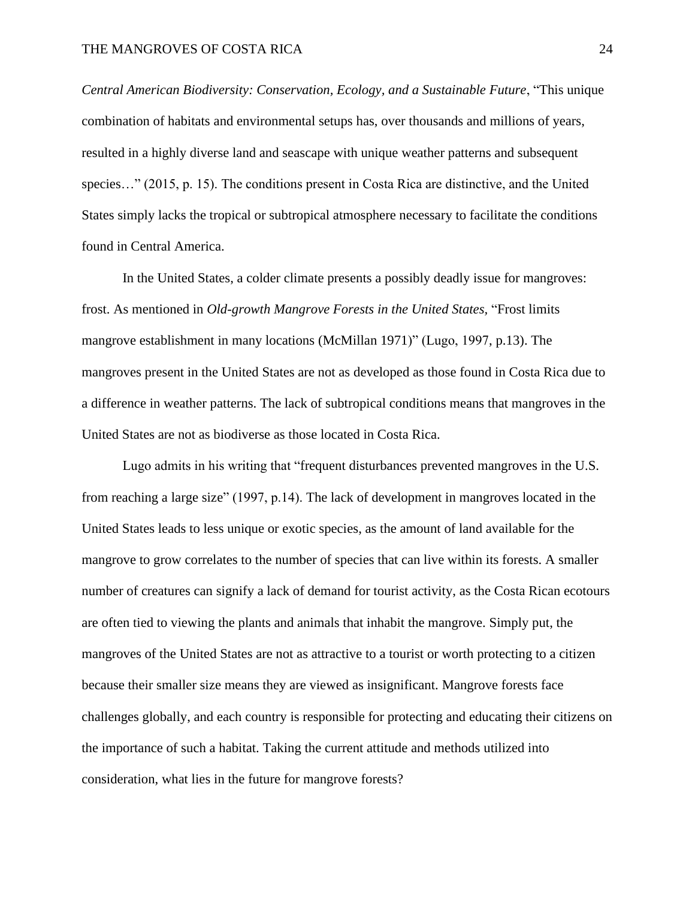*Central American Biodiversity: Conservation, Ecology, and a Sustainable Future*, "This unique combination of habitats and environmental setups has, over thousands and millions of years, resulted in a highly diverse land and seascape with unique weather patterns and subsequent species..." (2015, p. 15). The conditions present in Costa Rica are distinctive, and the United States simply lacks the tropical or subtropical atmosphere necessary to facilitate the conditions found in Central America.

In the United States, a colder climate presents a possibly deadly issue for mangroves: frost. As mentioned in *Old-growth Mangrove Forests in the United States,* "Frost limits mangrove establishment in many locations (McMillan 1971)" (Lugo, 1997, p.13). The mangroves present in the United States are not as developed as those found in Costa Rica due to a difference in weather patterns. The lack of subtropical conditions means that mangroves in the United States are not as biodiverse as those located in Costa Rica.

Lugo admits in his writing that "frequent disturbances prevented mangroves in the U.S. from reaching a large size" (1997, p.14). The lack of development in mangroves located in the United States leads to less unique or exotic species, as the amount of land available for the mangrove to grow correlates to the number of species that can live within its forests. A smaller number of creatures can signify a lack of demand for tourist activity, as the Costa Rican ecotours are often tied to viewing the plants and animals that inhabit the mangrove. Simply put, the mangroves of the United States are not as attractive to a tourist or worth protecting to a citizen because their smaller size means they are viewed as insignificant. Mangrove forests face challenges globally, and each country is responsible for protecting and educating their citizens on the importance of such a habitat. Taking the current attitude and methods utilized into consideration, what lies in the future for mangrove forests?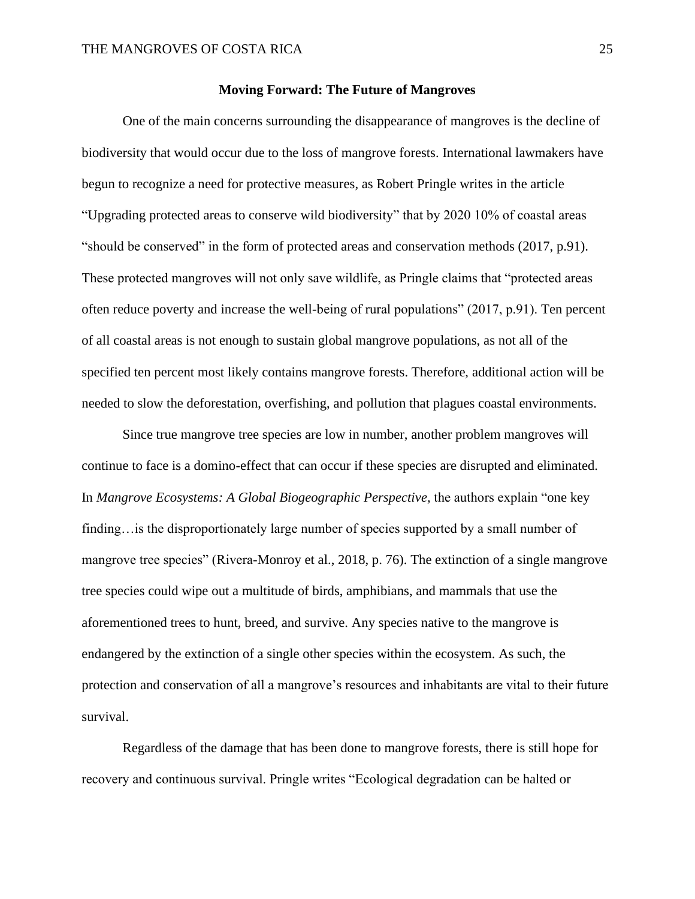#### **Moving Forward: The Future of Mangroves**

One of the main concerns surrounding the disappearance of mangroves is the decline of biodiversity that would occur due to the loss of mangrove forests. International lawmakers have begun to recognize a need for protective measures, as Robert Pringle writes in the article "Upgrading protected areas to conserve wild biodiversity" that by 2020 10% of coastal areas "should be conserved" in the form of protected areas and conservation methods (2017, p.91). These protected mangroves will not only save wildlife, as Pringle claims that "protected areas often reduce poverty and increase the well-being of rural populations" (2017, p.91). Ten percent of all coastal areas is not enough to sustain global mangrove populations, as not all of the specified ten percent most likely contains mangrove forests. Therefore, additional action will be needed to slow the deforestation, overfishing, and pollution that plagues coastal environments.

Since true mangrove tree species are low in number, another problem mangroves will continue to face is a domino-effect that can occur if these species are disrupted and eliminated. In *Mangrove Ecosystems: A Global Biogeographic Perspective*, the authors explain "one key finding... is the disproportionately large number of species supported by a small number of mangrove tree species" (Rivera-Monroy et al., 2018, p. 76). The extinction of a single mangrove tree species could wipe out a multitude of birds, amphibians, and mammals that use the aforementioned trees to hunt, breed, and survive. Any species native to the mangrove is endangered by the extinction of a single other species within the ecosystem. As such, the protection and conservation of all a mangrove's resources and inhabitants are vital to their future survival.

Regardless of the damage that has been done to mangrove forests, there is still hope for recovery and continuous survival. Pringle writes "Ecological degradation can be halted or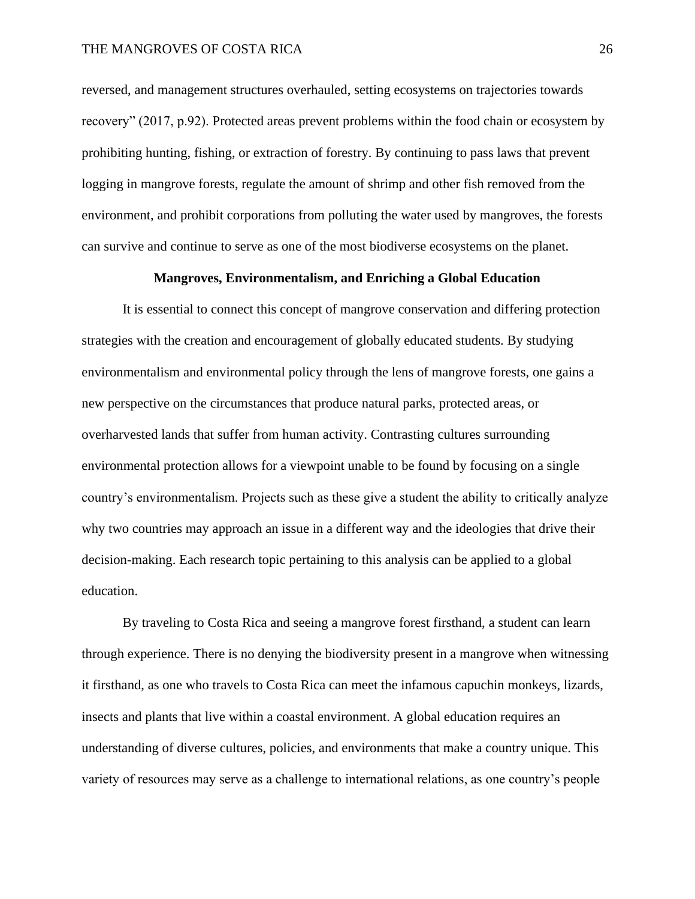reversed, and management structures overhauled, setting ecosystems on trajectories towards recovery" (2017, p.92). Protected areas prevent problems within the food chain or ecosystem by prohibiting hunting, fishing, or extraction of forestry. By continuing to pass laws that prevent logging in mangrove forests, regulate the amount of shrimp and other fish removed from the environment, and prohibit corporations from polluting the water used by mangroves, the forests can survive and continue to serve as one of the most biodiverse ecosystems on the planet.

#### **Mangroves, Environmentalism, and Enriching a Global Education**

It is essential to connect this concept of mangrove conservation and differing protection strategies with the creation and encouragement of globally educated students. By studying environmentalism and environmental policy through the lens of mangrove forests, one gains a new perspective on the circumstances that produce natural parks, protected areas, or overharvested lands that suffer from human activity. Contrasting cultures surrounding environmental protection allows for a viewpoint unable to be found by focusing on a single country's environmentalism. Projects such as these give a student the ability to critically analyze why two countries may approach an issue in a different way and the ideologies that drive their decision-making. Each research topic pertaining to this analysis can be applied to a global education.

By traveling to Costa Rica and seeing a mangrove forest firsthand, a student can learn through experience. There is no denying the biodiversity present in a mangrove when witnessing it firsthand, as one who travels to Costa Rica can meet the infamous capuchin monkeys, lizards, insects and plants that live within a coastal environment. A global education requires an understanding of diverse cultures, policies, and environments that make a country unique. This variety of resources may serve as a challenge to international relations, as one country's people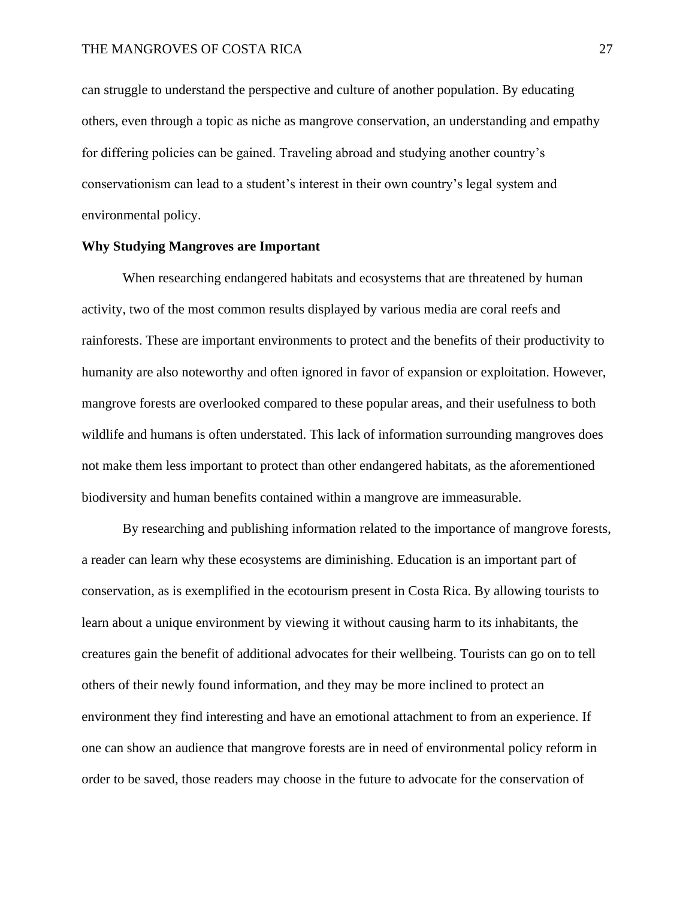can struggle to understand the perspective and culture of another population. By educating others, even through a topic as niche as mangrove conservation, an understanding and empathy for differing policies can be gained. Traveling abroad and studying another country's conservationism can lead to a student's interest in their own country's legal system and environmental policy.

# **Why Studying Mangroves are Important**

When researching endangered habitats and ecosystems that are threatened by human activity, two of the most common results displayed by various media are coral reefs and rainforests. These are important environments to protect and the benefits of their productivity to humanity are also noteworthy and often ignored in favor of expansion or exploitation. However, mangrove forests are overlooked compared to these popular areas, and their usefulness to both wildlife and humans is often understated. This lack of information surrounding mangroves does not make them less important to protect than other endangered habitats, as the aforementioned biodiversity and human benefits contained within a mangrove are immeasurable.

By researching and publishing information related to the importance of mangrove forests, a reader can learn why these ecosystems are diminishing. Education is an important part of conservation, as is exemplified in the ecotourism present in Costa Rica. By allowing tourists to learn about a unique environment by viewing it without causing harm to its inhabitants, the creatures gain the benefit of additional advocates for their wellbeing. Tourists can go on to tell others of their newly found information, and they may be more inclined to protect an environment they find interesting and have an emotional attachment to from an experience. If one can show an audience that mangrove forests are in need of environmental policy reform in order to be saved, those readers may choose in the future to advocate for the conservation of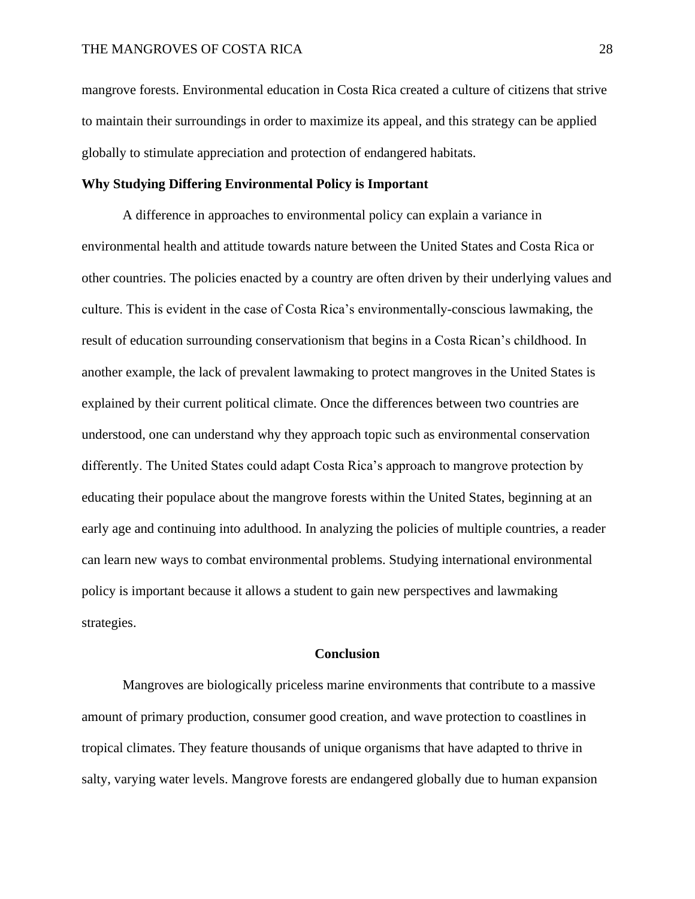mangrove forests. Environmental education in Costa Rica created a culture of citizens that strive to maintain their surroundings in order to maximize its appeal, and this strategy can be applied globally to stimulate appreciation and protection of endangered habitats.

# **Why Studying Differing Environmental Policy is Important**

A difference in approaches to environmental policy can explain a variance in environmental health and attitude towards nature between the United States and Costa Rica or other countries. The policies enacted by a country are often driven by their underlying values and culture. This is evident in the case of Costa Rica's environmentally-conscious lawmaking, the result of education surrounding conservationism that begins in a Costa Rican's childhood. In another example, the lack of prevalent lawmaking to protect mangroves in the United States is explained by their current political climate. Once the differences between two countries are understood, one can understand why they approach topic such as environmental conservation differently. The United States could adapt Costa Rica's approach to mangrove protection by educating their populace about the mangrove forests within the United States, beginning at an early age and continuing into adulthood. In analyzing the policies of multiple countries, a reader can learn new ways to combat environmental problems. Studying international environmental policy is important because it allows a student to gain new perspectives and lawmaking strategies.

#### **Conclusion**

Mangroves are biologically priceless marine environments that contribute to a massive amount of primary production, consumer good creation, and wave protection to coastlines in tropical climates. They feature thousands of unique organisms that have adapted to thrive in salty, varying water levels. Mangrove forests are endangered globally due to human expansion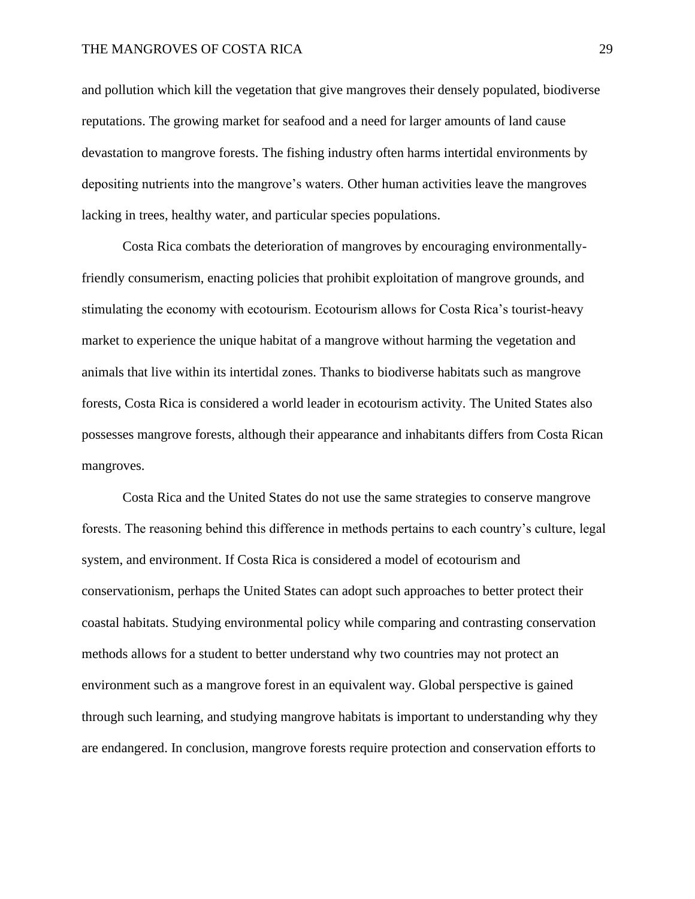# THE MANGROVES OF COSTA RICA 29

and pollution which kill the vegetation that give mangroves their densely populated, biodiverse reputations. The growing market for seafood and a need for larger amounts of land cause devastation to mangrove forests. The fishing industry often harms intertidal environments by depositing nutrients into the mangrove's waters. Other human activities leave the mangroves lacking in trees, healthy water, and particular species populations.

Costa Rica combats the deterioration of mangroves by encouraging environmentallyfriendly consumerism, enacting policies that prohibit exploitation of mangrove grounds, and stimulating the economy with ecotourism. Ecotourism allows for Costa Rica's tourist-heavy market to experience the unique habitat of a mangrove without harming the vegetation and animals that live within its intertidal zones. Thanks to biodiverse habitats such as mangrove forests, Costa Rica is considered a world leader in ecotourism activity. The United States also possesses mangrove forests, although their appearance and inhabitants differs from Costa Rican mangroves.

Costa Rica and the United States do not use the same strategies to conserve mangrove forests. The reasoning behind this difference in methods pertains to each country's culture, legal system, and environment. If Costa Rica is considered a model of ecotourism and conservationism, perhaps the United States can adopt such approaches to better protect their coastal habitats. Studying environmental policy while comparing and contrasting conservation methods allows for a student to better understand why two countries may not protect an environment such as a mangrove forest in an equivalent way. Global perspective is gained through such learning, and studying mangrove habitats is important to understanding why they are endangered. In conclusion, mangrove forests require protection and conservation efforts to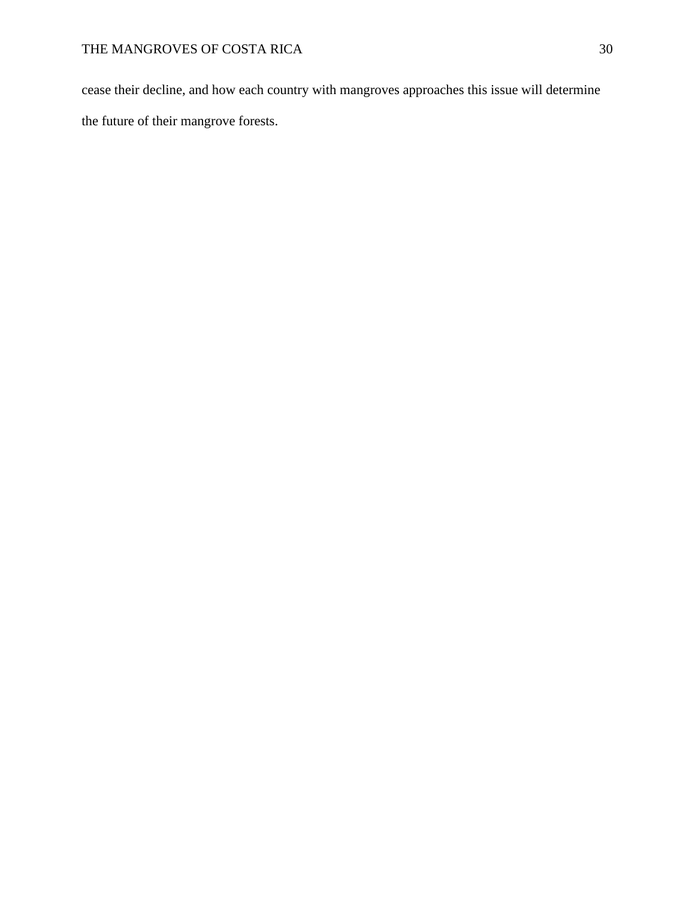cease their decline, and how each country with mangroves approaches this issue will determine the future of their mangrove forests.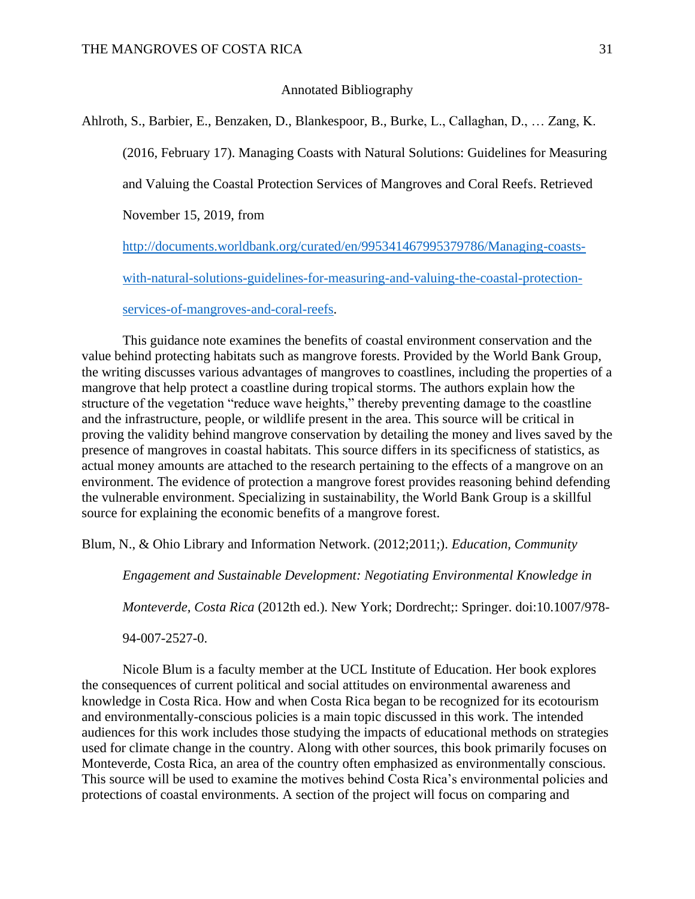# Annotated Bibliography

Ahlroth, S., Barbier, E., Benzaken, D., Blankespoor, B., Burke, L., Callaghan, D., … Zang, K. (2016, February 17). Managing Coasts with Natural Solutions: Guidelines for Measuring and Valuing the Coastal Protection Services of Mangroves and Coral Reefs. Retrieved November 15, 2019, from [http://documents.worldbank.org/curated/en/995341467995379786/Managing-coasts-](http://documents.worldbank.org/curated/en/995341467995379786/Managing-coasts-with-natural-solutions-guidelines-for-measuring-and-valuing-the-coastal-protection-services-of-mangroves-and-coral-reefs)

[with-natural-solutions-guidelines-for-measuring-and-valuing-the-coastal-protection-](http://documents.worldbank.org/curated/en/995341467995379786/Managing-coasts-with-natural-solutions-guidelines-for-measuring-and-valuing-the-coastal-protection-services-of-mangroves-and-coral-reefs)

#### [services-of-mangroves-and-coral-reefs.](http://documents.worldbank.org/curated/en/995341467995379786/Managing-coasts-with-natural-solutions-guidelines-for-measuring-and-valuing-the-coastal-protection-services-of-mangroves-and-coral-reefs)

This guidance note examines the benefits of coastal environment conservation and the value behind protecting habitats such as mangrove forests. Provided by the World Bank Group, the writing discusses various advantages of mangroves to coastlines, including the properties of a mangrove that help protect a coastline during tropical storms. The authors explain how the structure of the vegetation "reduce wave heights," thereby preventing damage to the coastline and the infrastructure, people, or wildlife present in the area. This source will be critical in proving the validity behind mangrove conservation by detailing the money and lives saved by the presence of mangroves in coastal habitats. This source differs in its specificness of statistics, as actual money amounts are attached to the research pertaining to the effects of a mangrove on an environment. The evidence of protection a mangrove forest provides reasoning behind defending the vulnerable environment. Specializing in sustainability, the World Bank Group is a skillful source for explaining the economic benefits of a mangrove forest.

Blum, N., & Ohio Library and Information Network. (2012;2011;). *Education, Community* 

*Engagement and Sustainable Development: Negotiating Environmental Knowledge in* 

*Monteverde, Costa Rica* (2012th ed.). New York; Dordrecht;: Springer. doi:10.1007/978-

94-007-2527-0.

Nicole Blum is a faculty member at the UCL Institute of Education. Her book explores the consequences of current political and social attitudes on environmental awareness and knowledge in Costa Rica. How and when Costa Rica began to be recognized for its ecotourism and environmentally-conscious policies is a main topic discussed in this work. The intended audiences for this work includes those studying the impacts of educational methods on strategies used for climate change in the country. Along with other sources, this book primarily focuses on Monteverde, Costa Rica, an area of the country often emphasized as environmentally conscious. This source will be used to examine the motives behind Costa Rica's environmental policies and protections of coastal environments. A section of the project will focus on comparing and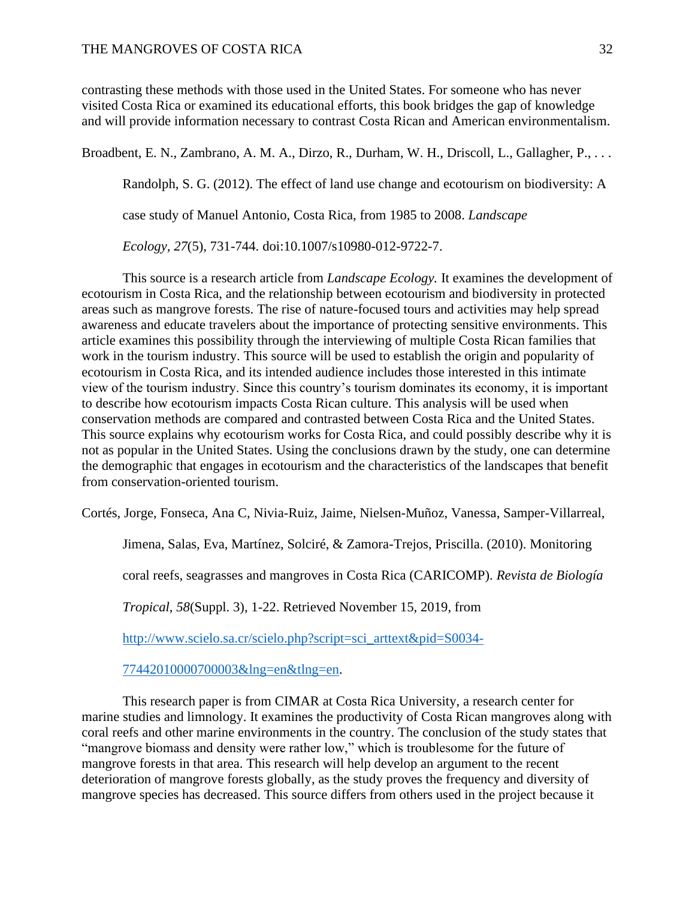contrasting these methods with those used in the United States. For someone who has never visited Costa Rica or examined its educational efforts, this book bridges the gap of knowledge and will provide information necessary to contrast Costa Rican and American environmentalism.

Broadbent, E. N., Zambrano, A. M. A., Dirzo, R., Durham, W. H., Driscoll, L., Gallagher, P., . . .

Randolph, S. G. (2012). The effect of land use change and ecotourism on biodiversity: A

case study of Manuel Antonio, Costa Rica, from 1985 to 2008. *Landscape* 

*Ecology, 27*(5), 731-744. doi:10.1007/s10980-012-9722-7.

This source is a research article from *Landscape Ecology.* It examines the development of ecotourism in Costa Rica, and the relationship between ecotourism and biodiversity in protected areas such as mangrove forests. The rise of nature-focused tours and activities may help spread awareness and educate travelers about the importance of protecting sensitive environments. This article examines this possibility through the interviewing of multiple Costa Rican families that work in the tourism industry. This source will be used to establish the origin and popularity of ecotourism in Costa Rica, and its intended audience includes those interested in this intimate view of the tourism industry. Since this country's tourism dominates its economy, it is important to describe how ecotourism impacts Costa Rican culture. This analysis will be used when conservation methods are compared and contrasted between Costa Rica and the United States. This source explains why ecotourism works for Costa Rica, and could possibly describe why it is not as popular in the United States. Using the conclusions drawn by the study, one can determine the demographic that engages in ecotourism and the characteristics of the landscapes that benefit from conservation-oriented tourism.

Cortés, Jorge, Fonseca, Ana C, Nivia-Ruiz, Jaime, Nielsen-Muñoz, Vanessa, Samper-Villarreal,

Jimena, Salas, Eva, Martínez, Solciré, & Zamora-Trejos, Priscilla. (2010). Monitoring

coral reefs, seagrasses and mangroves in Costa Rica (CARICOMP). *Revista de Biología* 

*Tropical*, *58*(Suppl. 3), 1-22. Retrieved November 15, 2019, from

[http://www.scielo.sa.cr/scielo.php?script=sci\\_arttext&pid=S0034-](http://www.scielo.sa.cr/scielo.php?script=sci_arttext&pid=S0034-77442010000700003&lng=en&tlng=en)

[77442010000700003&lng=en&tlng=en.](http://www.scielo.sa.cr/scielo.php?script=sci_arttext&pid=S0034-77442010000700003&lng=en&tlng=en)

This research paper is from CIMAR at Costa Rica University, a research center for marine studies and limnology. It examines the productivity of Costa Rican mangroves along with coral reefs and other marine environments in the country. The conclusion of the study states that "mangrove biomass and density were rather low," which is troublesome for the future of mangrove forests in that area. This research will help develop an argument to the recent deterioration of mangrove forests globally, as the study proves the frequency and diversity of mangrove species has decreased. This source differs from others used in the project because it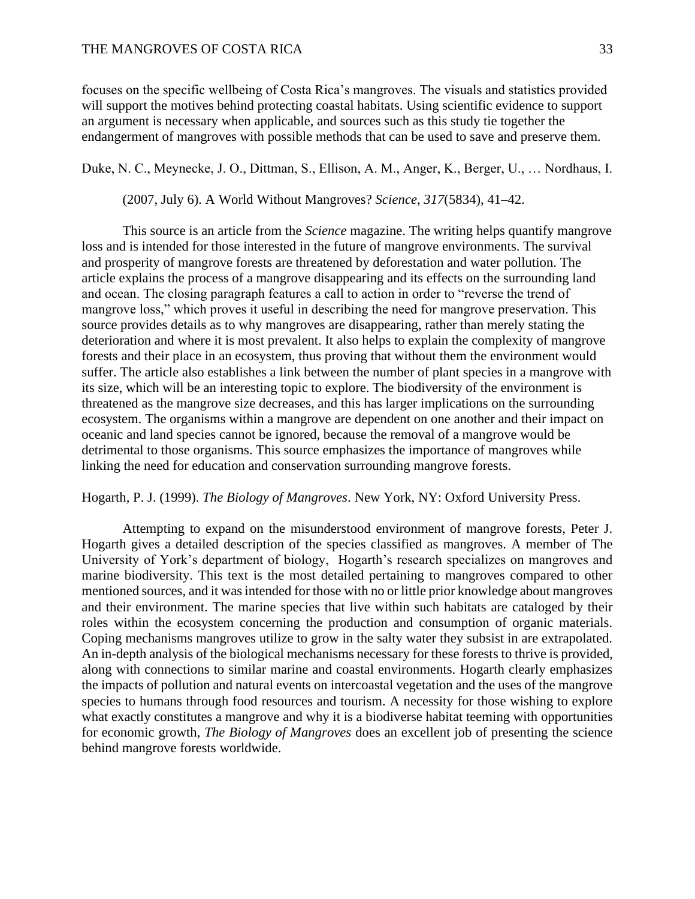focuses on the specific wellbeing of Costa Rica's mangroves. The visuals and statistics provided will support the motives behind protecting coastal habitats. Using scientific evidence to support an argument is necessary when applicable, and sources such as this study tie together the endangerment of mangroves with possible methods that can be used to save and preserve them.

Duke, N. C., Meynecke, J. O., Dittman, S., Ellison, A. M., Anger, K., Berger, U., … Nordhaus, I.

(2007, July 6). A World Without Mangroves? *Science*, *317*(5834), 41–42.

This source is an article from the *Science* magazine. The writing helps quantify mangrove loss and is intended for those interested in the future of mangrove environments. The survival and prosperity of mangrove forests are threatened by deforestation and water pollution. The article explains the process of a mangrove disappearing and its effects on the surrounding land and ocean. The closing paragraph features a call to action in order to "reverse the trend of mangrove loss," which proves it useful in describing the need for mangrove preservation. This source provides details as to why mangroves are disappearing, rather than merely stating the deterioration and where it is most prevalent. It also helps to explain the complexity of mangrove forests and their place in an ecosystem, thus proving that without them the environment would suffer. The article also establishes a link between the number of plant species in a mangrove with its size, which will be an interesting topic to explore. The biodiversity of the environment is threatened as the mangrove size decreases, and this has larger implications on the surrounding ecosystem. The organisms within a mangrove are dependent on one another and their impact on oceanic and land species cannot be ignored, because the removal of a mangrove would be detrimental to those organisms. This source emphasizes the importance of mangroves while linking the need for education and conservation surrounding mangrove forests.

# Hogarth, P. J. (1999). *The Biology of Mangroves*. New York, NY: Oxford University Press.

Attempting to expand on the misunderstood environment of mangrove forests, Peter J. Hogarth gives a detailed description of the species classified as mangroves. A member of The University of York's department of biology, Hogarth's research specializes on mangroves and marine biodiversity. This text is the most detailed pertaining to mangroves compared to other mentioned sources, and it was intended for those with no or little prior knowledge about mangroves and their environment. The marine species that live within such habitats are cataloged by their roles within the ecosystem concerning the production and consumption of organic materials. Coping mechanisms mangroves utilize to grow in the salty water they subsist in are extrapolated. An in-depth analysis of the biological mechanisms necessary for these forests to thrive is provided, along with connections to similar marine and coastal environments. Hogarth clearly emphasizes the impacts of pollution and natural events on intercoastal vegetation and the uses of the mangrove species to humans through food resources and tourism. A necessity for those wishing to explore what exactly constitutes a mangrove and why it is a biodiverse habitat teeming with opportunities for economic growth, *The Biology of Mangroves* does an excellent job of presenting the science behind mangrove forests worldwide.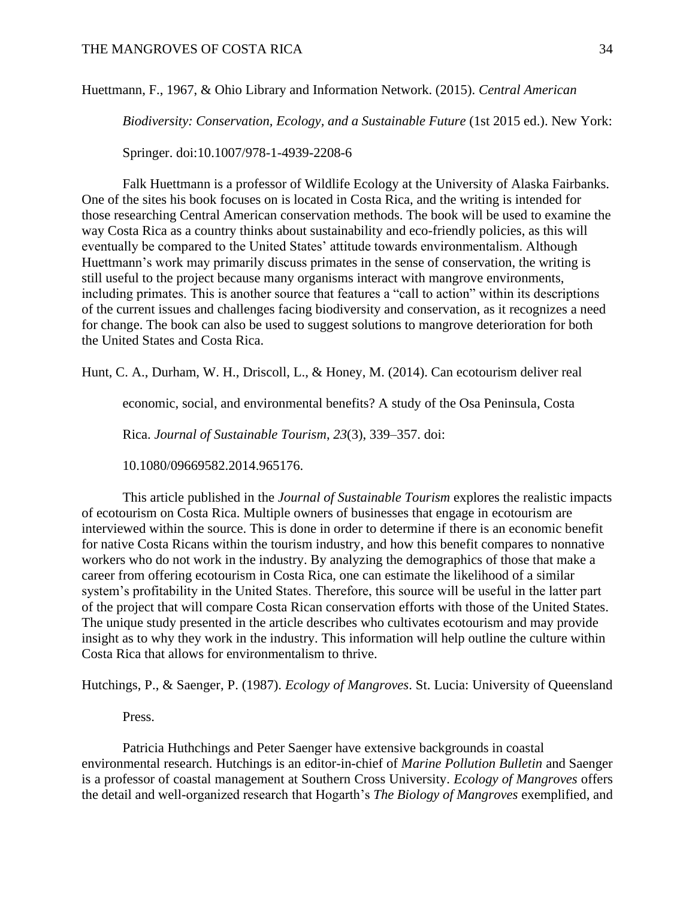Huettmann, F., 1967, & Ohio Library and Information Network. (2015). *Central American* 

*Biodiversity: Conservation, Ecology, and a Sustainable Future* (1st 2015 ed.). New York:

Springer. doi:10.1007/978-1-4939-2208-6

Falk Huettmann is a professor of Wildlife Ecology at the University of Alaska Fairbanks. One of the sites his book focuses on is located in Costa Rica, and the writing is intended for those researching Central American conservation methods. The book will be used to examine the way Costa Rica as a country thinks about sustainability and eco-friendly policies, as this will eventually be compared to the United States' attitude towards environmentalism. Although Huettmann's work may primarily discuss primates in the sense of conservation, the writing is still useful to the project because many organisms interact with mangrove environments, including primates. This is another source that features a "call to action" within its descriptions of the current issues and challenges facing biodiversity and conservation, as it recognizes a need for change. The book can also be used to suggest solutions to mangrove deterioration for both the United States and Costa Rica.

Hunt, C. A., Durham, W. H., Driscoll, L., & Honey, M. (2014). Can ecotourism deliver real

economic, social, and environmental benefits? A study of the Osa Peninsula, Costa

Rica. *Journal of Sustainable Tourism*, *23*(3), 339–357. doi:

10.1080/09669582.2014.965176.

This article published in the *Journal of Sustainable Tourism* explores the realistic impacts of ecotourism on Costa Rica. Multiple owners of businesses that engage in ecotourism are interviewed within the source. This is done in order to determine if there is an economic benefit for native Costa Ricans within the tourism industry, and how this benefit compares to nonnative workers who do not work in the industry. By analyzing the demographics of those that make a career from offering ecotourism in Costa Rica, one can estimate the likelihood of a similar system's profitability in the United States. Therefore, this source will be useful in the latter part of the project that will compare Costa Rican conservation efforts with those of the United States. The unique study presented in the article describes who cultivates ecotourism and may provide insight as to why they work in the industry. This information will help outline the culture within Costa Rica that allows for environmentalism to thrive.

Hutchings, P., & Saenger, P. (1987). *Ecology of Mangroves*. St. Lucia: University of Queensland

Press.

Patricia Huthchings and Peter Saenger have extensive backgrounds in coastal environmental research. Hutchings is an editor-in-chief of *Marine Pollution Bulletin* and Saenger is a professor of coastal management at Southern Cross University. *Ecology of Mangroves* offers the detail and well-organized research that Hogarth's *The Biology of Mangroves* exemplified, and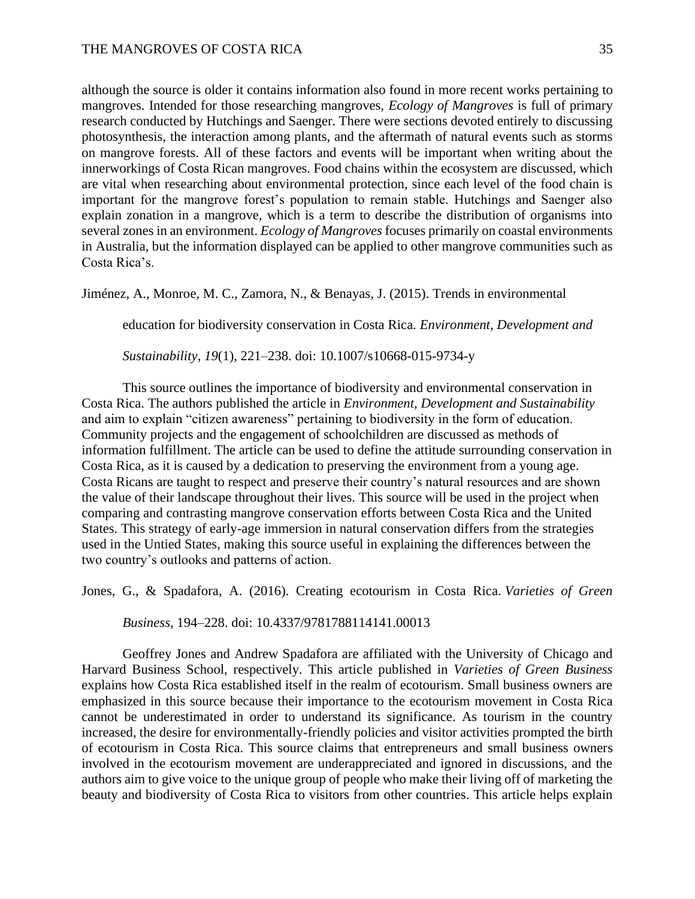although the source is older it contains information also found in more recent works pertaining to mangroves. Intended for those researching mangroves, *Ecology of Mangroves* is full of primary research conducted by Hutchings and Saenger. There were sections devoted entirely to discussing photosynthesis, the interaction among plants, and the aftermath of natural events such as storms on mangrove forests. All of these factors and events will be important when writing about the innerworkings of Costa Rican mangroves. Food chains within the ecosystem are discussed, which are vital when researching about environmental protection, since each level of the food chain is important for the mangrove forest's population to remain stable. Hutchings and Saenger also explain zonation in a mangrove, which is a term to describe the distribution of organisms into several zones in an environment. *Ecology of Mangroves* focuses primarily on coastal environments in Australia, but the information displayed can be applied to other mangrove communities such as Costa Rica's.

Jiménez, A., Monroe, M. C., Zamora, N., & Benayas, J. (2015). Trends in environmental

education for biodiversity conservation in Costa Rica. *Environment, Development and* 

*Sustainability*, *19*(1), 221–238. doi: 10.1007/s10668-015-9734-y

This source outlines the importance of biodiversity and environmental conservation in Costa Rica. The authors published the article in *Environment, Development and Sustainability* and aim to explain "citizen awareness" pertaining to biodiversity in the form of education. Community projects and the engagement of schoolchildren are discussed as methods of information fulfillment. The article can be used to define the attitude surrounding conservation in Costa Rica, as it is caused by a dedication to preserving the environment from a young age. Costa Ricans are taught to respect and preserve their country's natural resources and are shown the value of their landscape throughout their lives. This source will be used in the project when comparing and contrasting mangrove conservation efforts between Costa Rica and the United States. This strategy of early-age immersion in natural conservation differs from the strategies used in the Untied States, making this source useful in explaining the differences between the two country's outlooks and patterns of action.

Jones, G., & Spadafora, A. (2016). Creating ecotourism in Costa Rica. *Varieties of Green* 

*Business*, 194–228. doi: 10.4337/9781788114141.00013

Geoffrey Jones and Andrew Spadafora are affiliated with the University of Chicago and Harvard Business School, respectively. This article published in *Varieties of Green Business*  explains how Costa Rica established itself in the realm of ecotourism. Small business owners are emphasized in this source because their importance to the ecotourism movement in Costa Rica cannot be underestimated in order to understand its significance. As tourism in the country increased, the desire for environmentally-friendly policies and visitor activities prompted the birth of ecotourism in Costa Rica. This source claims that entrepreneurs and small business owners involved in the ecotourism movement are underappreciated and ignored in discussions, and the authors aim to give voice to the unique group of people who make their living off of marketing the beauty and biodiversity of Costa Rica to visitors from other countries. This article helps explain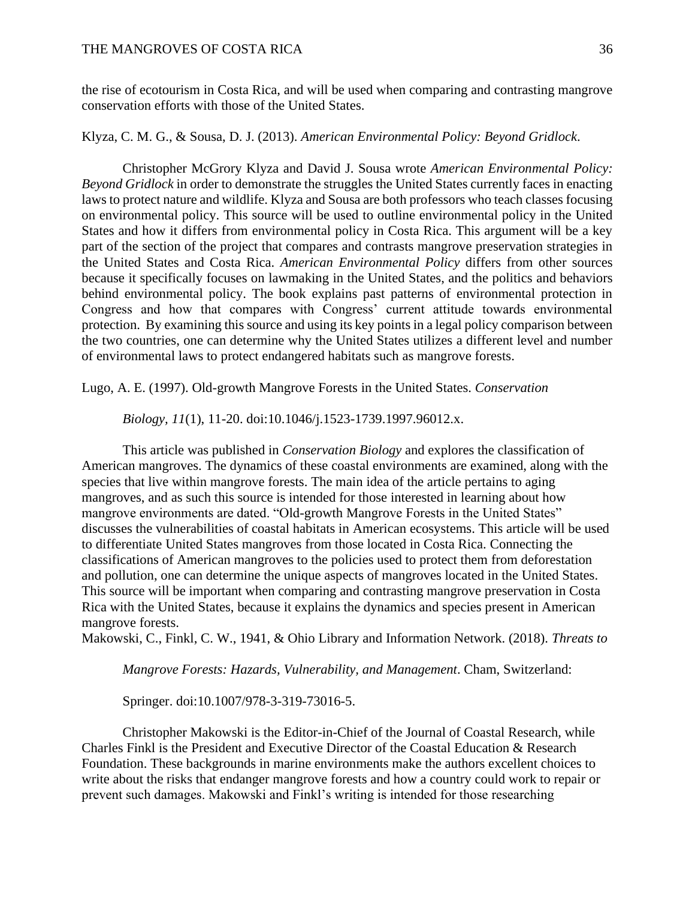the rise of ecotourism in Costa Rica, and will be used when comparing and contrasting mangrove conservation efforts with those of the United States.

# Klyza, C. M. G., & Sousa, D. J. (2013). *American Environmental Policy: Beyond Gridlock*.

Christopher McGrory Klyza and David J. Sousa wrote *American Environmental Policy: Beyond Gridlock* in order to demonstrate the struggles the United States currently faces in enacting laws to protect nature and wildlife. Klyza and Sousa are both professors who teach classes focusing on environmental policy. This source will be used to outline environmental policy in the United States and how it differs from environmental policy in Costa Rica. This argument will be a key part of the section of the project that compares and contrasts mangrove preservation strategies in the United States and Costa Rica. *American Environmental Policy* differs from other sources because it specifically focuses on lawmaking in the United States, and the politics and behaviors behind environmental policy. The book explains past patterns of environmental protection in Congress and how that compares with Congress' current attitude towards environmental protection. By examining this source and using its key points in a legal policy comparison between the two countries, one can determine why the United States utilizes a different level and number of environmental laws to protect endangered habitats such as mangrove forests.

Lugo, A. E. (1997). Old-growth Mangrove Forests in the United States. *Conservation* 

# *Biology, 11*(1), 11-20. doi:10.1046/j.1523-1739.1997.96012.x.

This article was published in *Conservation Biology* and explores the classification of American mangroves. The dynamics of these coastal environments are examined, along with the species that live within mangrove forests. The main idea of the article pertains to aging mangroves, and as such this source is intended for those interested in learning about how mangrove environments are dated. "Old-growth Mangrove Forests in the United States" discusses the vulnerabilities of coastal habitats in American ecosystems. This article will be used to differentiate United States mangroves from those located in Costa Rica. Connecting the classifications of American mangroves to the policies used to protect them from deforestation and pollution, one can determine the unique aspects of mangroves located in the United States. This source will be important when comparing and contrasting mangrove preservation in Costa Rica with the United States, because it explains the dynamics and species present in American mangrove forests.

Makowski, C., Finkl, C. W., 1941, & Ohio Library and Information Network. (2018). *Threats to* 

*Mangrove Forests: Hazards, Vulnerability, and Management*. Cham, Switzerland:

Springer. doi:10.1007/978-3-319-73016-5.

Christopher Makowski is the Editor-in-Chief of the Journal of Coastal Research, while Charles Finkl is the President and Executive Director of the Coastal Education & Research Foundation. These backgrounds in marine environments make the authors excellent choices to write about the risks that endanger mangrove forests and how a country could work to repair or prevent such damages. Makowski and Finkl's writing is intended for those researching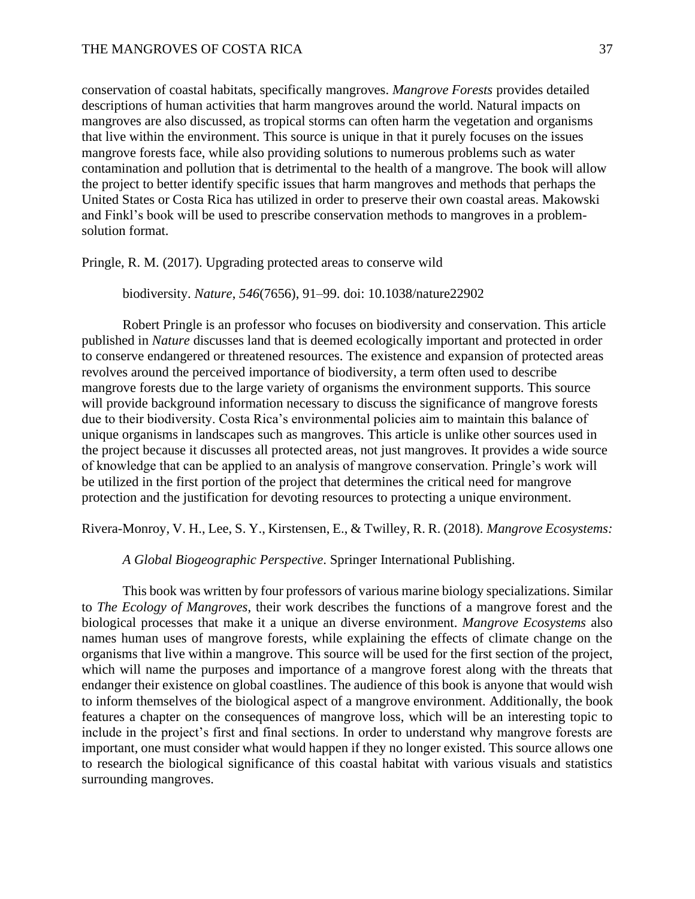conservation of coastal habitats, specifically mangroves. *Mangrove Forests* provides detailed descriptions of human activities that harm mangroves around the world. Natural impacts on mangroves are also discussed, as tropical storms can often harm the vegetation and organisms that live within the environment. This source is unique in that it purely focuses on the issues mangrove forests face, while also providing solutions to numerous problems such as water contamination and pollution that is detrimental to the health of a mangrove. The book will allow the project to better identify specific issues that harm mangroves and methods that perhaps the United States or Costa Rica has utilized in order to preserve their own coastal areas. Makowski and Finkl's book will be used to prescribe conservation methods to mangroves in a problemsolution format.

Pringle, R. M. (2017). Upgrading protected areas to conserve wild

biodiversity. *Nature*, *546*(7656), 91–99. doi: 10.1038/nature22902

Robert Pringle is an professor who focuses on biodiversity and conservation. This article published in *Nature* discusses land that is deemed ecologically important and protected in order to conserve endangered or threatened resources. The existence and expansion of protected areas revolves around the perceived importance of biodiversity, a term often used to describe mangrove forests due to the large variety of organisms the environment supports. This source will provide background information necessary to discuss the significance of mangrove forests due to their biodiversity. Costa Rica's environmental policies aim to maintain this balance of unique organisms in landscapes such as mangroves. This article is unlike other sources used in the project because it discusses all protected areas, not just mangroves. It provides a wide source of knowledge that can be applied to an analysis of mangrove conservation. Pringle's work will be utilized in the first portion of the project that determines the critical need for mangrove protection and the justification for devoting resources to protecting a unique environment.

Rivera-Monroy, V. H., Lee, S. Y., Kirstensen, E., & Twilley, R. R. (2018). *Mangrove Ecosystems:* 

*A Global Biogeographic Perspective*. Springer International Publishing.

This book was written by four professors of various marine biology specializations. Similar to *The Ecology of Mangroves*, their work describes the functions of a mangrove forest and the biological processes that make it a unique an diverse environment. *Mangrove Ecosystems* also names human uses of mangrove forests, while explaining the effects of climate change on the organisms that live within a mangrove. This source will be used for the first section of the project, which will name the purposes and importance of a mangrove forest along with the threats that endanger their existence on global coastlines. The audience of this book is anyone that would wish to inform themselves of the biological aspect of a mangrove environment. Additionally, the book features a chapter on the consequences of mangrove loss, which will be an interesting topic to include in the project's first and final sections. In order to understand why mangrove forests are important, one must consider what would happen if they no longer existed. This source allows one to research the biological significance of this coastal habitat with various visuals and statistics surrounding mangroves.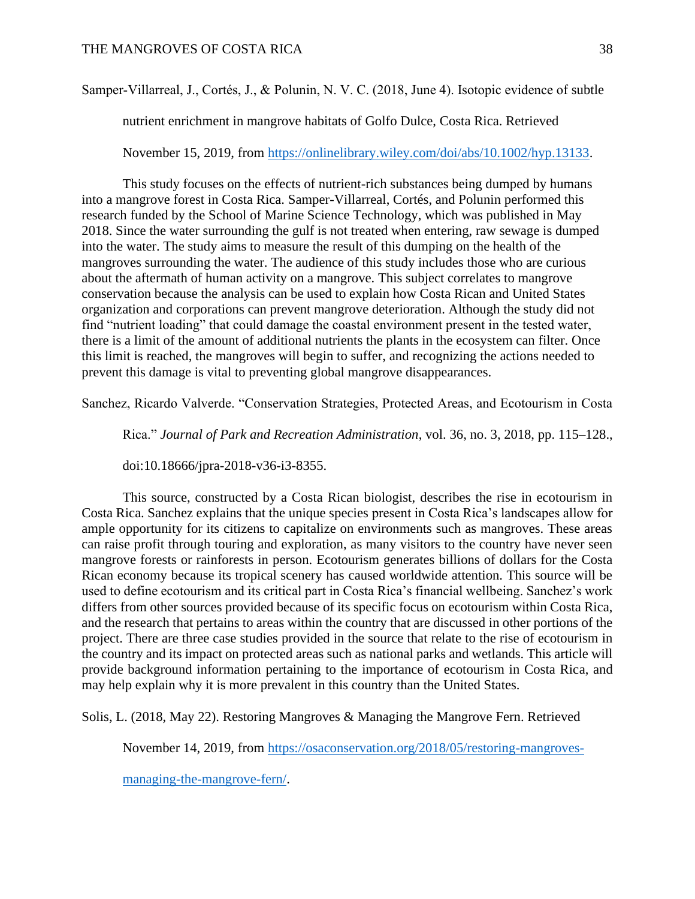# Samper‐Villarreal, J., Cortés, J., & Polunin, N. V. C. (2018, June 4). Isotopic evidence of subtle

nutrient enrichment in mangrove habitats of Golfo Dulce, Costa Rica. Retrieved

November 15, 2019, from [https://onlinelibrary.wiley.com/doi/abs/10.1002/hyp.13133.](https://onlinelibrary.wiley.com/doi/abs/10.1002/hyp.13133)

This study focuses on the effects of nutrient-rich substances being dumped by humans into a mangrove forest in Costa Rica. Samper-Villarreal, Cortés, and Polunin performed this research funded by the School of Marine Science Technology, which was published in May 2018. Since the water surrounding the gulf is not treated when entering, raw sewage is dumped into the water. The study aims to measure the result of this dumping on the health of the mangroves surrounding the water. The audience of this study includes those who are curious about the aftermath of human activity on a mangrove. This subject correlates to mangrove conservation because the analysis can be used to explain how Costa Rican and United States organization and corporations can prevent mangrove deterioration. Although the study did not find "nutrient loading" that could damage the coastal environment present in the tested water, there is a limit of the amount of additional nutrients the plants in the ecosystem can filter. Once this limit is reached, the mangroves will begin to suffer, and recognizing the actions needed to prevent this damage is vital to preventing global mangrove disappearances.

Sanchez, Ricardo Valverde. "Conservation Strategies, Protected Areas, and Ecotourism in Costa

Rica." *Journal of Park and Recreation Administration*, vol. 36, no. 3, 2018, pp. 115–128.,

doi:10.18666/jpra-2018-v36-i3-8355.

This source, constructed by a Costa Rican biologist, describes the rise in ecotourism in Costa Rica. Sanchez explains that the unique species present in Costa Rica's landscapes allow for ample opportunity for its citizens to capitalize on environments such as mangroves. These areas can raise profit through touring and exploration, as many visitors to the country have never seen mangrove forests or rainforests in person. Ecotourism generates billions of dollars for the Costa Rican economy because its tropical scenery has caused worldwide attention. This source will be used to define ecotourism and its critical part in Costa Rica's financial wellbeing. Sanchez's work differs from other sources provided because of its specific focus on ecotourism within Costa Rica, and the research that pertains to areas within the country that are discussed in other portions of the project. There are three case studies provided in the source that relate to the rise of ecotourism in the country and its impact on protected areas such as national parks and wetlands. This article will provide background information pertaining to the importance of ecotourism in Costa Rica, and may help explain why it is more prevalent in this country than the United States.

Solis, L. (2018, May 22). Restoring Mangroves & Managing the Mangrove Fern. Retrieved

November 14, 2019, from [https://osaconservation.org/2018/05/restoring-mangroves-](https://osaconservation.org/2018/05/restoring-mangroves-managing-the-mangrove-fern/)

[managing-the-mangrove-fern/.](https://osaconservation.org/2018/05/restoring-mangroves-managing-the-mangrove-fern/)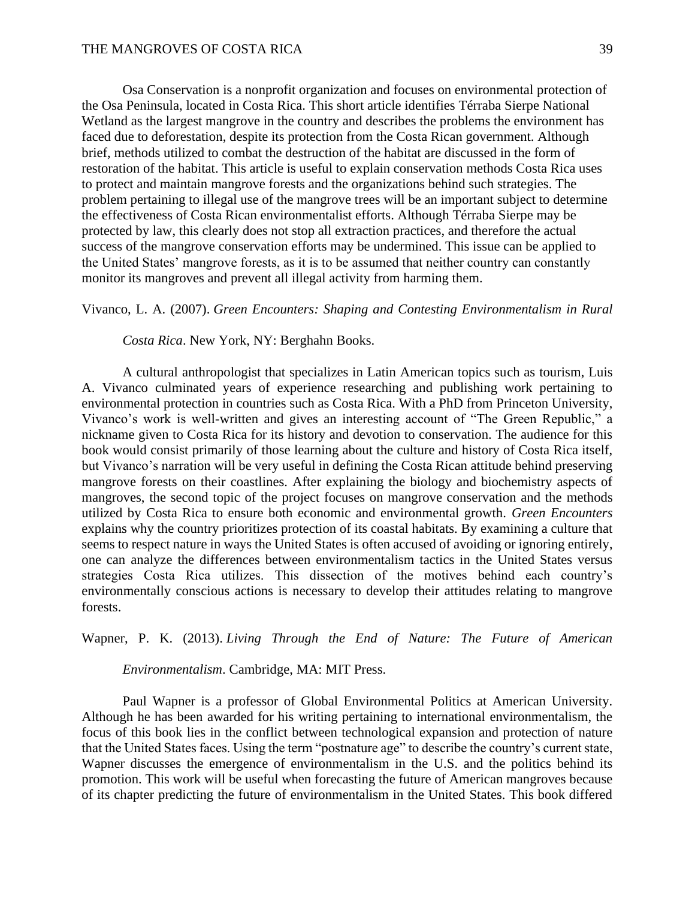Osa Conservation is a nonprofit organization and focuses on environmental protection of the Osa Peninsula, located in Costa Rica. This short article identifies Térraba Sierpe National Wetland as the largest mangrove in the country and describes the problems the environment has faced due to deforestation, despite its protection from the Costa Rican government. Although brief, methods utilized to combat the destruction of the habitat are discussed in the form of restoration of the habitat. This article is useful to explain conservation methods Costa Rica uses to protect and maintain mangrove forests and the organizations behind such strategies. The problem pertaining to illegal use of the mangrove trees will be an important subject to determine the effectiveness of Costa Rican environmentalist efforts. Although Térraba Sierpe may be protected by law, this clearly does not stop all extraction practices, and therefore the actual success of the mangrove conservation efforts may be undermined. This issue can be applied to the United States' mangrove forests, as it is to be assumed that neither country can constantly monitor its mangroves and prevent all illegal activity from harming them.

Vivanco, L. A. (2007). *Green Encounters: Shaping and Contesting Environmentalism in Rural* 

*Costa Rica*. New York, NY: Berghahn Books.

A cultural anthropologist that specializes in Latin American topics such as tourism, Luis A. Vivanco culminated years of experience researching and publishing work pertaining to environmental protection in countries such as Costa Rica. With a PhD from Princeton University, Vivanco's work is well-written and gives an interesting account of "The Green Republic," a nickname given to Costa Rica for its history and devotion to conservation. The audience for this book would consist primarily of those learning about the culture and history of Costa Rica itself, but Vivanco's narration will be very useful in defining the Costa Rican attitude behind preserving mangrove forests on their coastlines. After explaining the biology and biochemistry aspects of mangroves, the second topic of the project focuses on mangrove conservation and the methods utilized by Costa Rica to ensure both economic and environmental growth. *Green Encounters*  explains why the country prioritizes protection of its coastal habitats. By examining a culture that seems to respect nature in ways the United States is often accused of avoiding or ignoring entirely, one can analyze the differences between environmentalism tactics in the United States versus strategies Costa Rica utilizes. This dissection of the motives behind each country's environmentally conscious actions is necessary to develop their attitudes relating to mangrove forests.

Wapner, P. K. (2013). *Living Through the End of Nature: The Future of American* 

*Environmentalism*. Cambridge, MA: MIT Press.

Paul Wapner is a professor of Global Environmental Politics at American University. Although he has been awarded for his writing pertaining to international environmentalism, the focus of this book lies in the conflict between technological expansion and protection of nature that the United States faces. Using the term "postnature age" to describe the country's current state, Wapner discusses the emergence of environmentalism in the U.S. and the politics behind its promotion. This work will be useful when forecasting the future of American mangroves because of its chapter predicting the future of environmentalism in the United States. This book differed